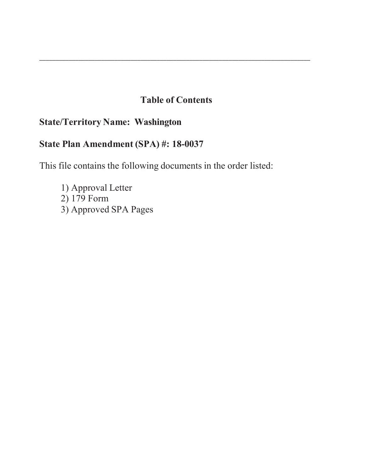## **Table of Contents**

\_\_\_\_\_\_\_\_\_\_\_\_\_\_\_\_\_\_\_\_\_\_\_\_\_\_\_\_\_\_\_\_\_\_\_\_\_\_\_\_\_\_\_\_\_\_\_\_\_\_\_\_\_\_\_\_\_\_\_\_\_\_\_\_\_\_\_\_\_\_\_\_\_\_\_\_\_\_\_\_\_\_\_

## **State/Territory Name: Washington**

# **State Plan Amendment (SPA) #: 18-0037**

This file contains the following documents in the order listed:

1) Approval Letter 2) 179 Form 3) Approved SPA Pages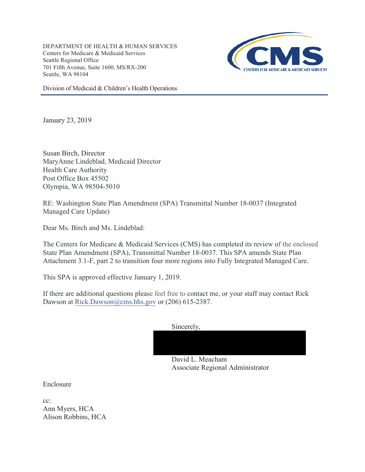DEPARTMENT OF HEALTH & HUMAN SERVICES Centers for Medicare & Medicaid Services Seattle Regional Office 701 Fifth Avenue, Suite 1600, MS/RX-200 Seattle, WA 98104



Division of Medicaid & Children's Health Operations

January 23, 2019

Susan Birch, Director MaryAnne Lindeblad, Medicaid Director Health Care Authority Post Office Box 45502 Olympia, WA 98504-5010

RE: Washington State Plan Amendment (SPA) Transmittal Number 18-0037 (Integrated Managed Care Update)

Dear Ms. Birch and Ms. Lindeblad:

The Centers for Medicare & Medicaid Services (CMS) has completed its review of the enclosed State Plan Amendment (SPA), Transmittal Number 18-0037. This SPA amends State Plan Attachment 3.1-F, part 2 to transition four more regions into Fully Integrated Managed Care.

This SPA is approved effective January 1, 2019.

If there are additional questions please feel free to contact me, or your staff may contact Rick Dawson at Rick.Dawson@cms.hhs.gov or  $(206)$  615-2387.

Sincerely,

David L. Meacham Associate Regional Administrator

Enclosure

cc: Ann Myers, HCA Alison Robbins, HCA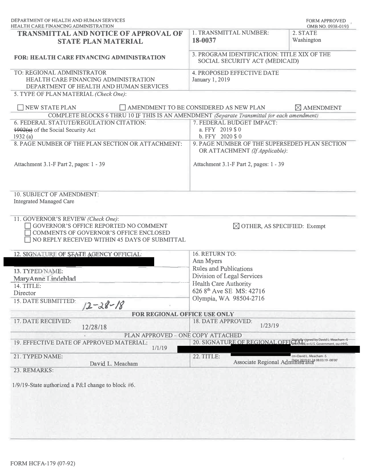| DEPARTMENT OF HEALTH AND HUMAN SERVICES<br><b>HEALTH CARE FINANCING ADMINISTRATION</b>                                                                                               |                                                                                 | <b>FORM APPROVED</b><br>OMB NO. 0938-0193                                   |  |  |  |  |  |
|--------------------------------------------------------------------------------------------------------------------------------------------------------------------------------------|---------------------------------------------------------------------------------|-----------------------------------------------------------------------------|--|--|--|--|--|
| <b>TRANSMITTAL AND NOTICE OF APPROVAL OF</b><br><b>STATE PLAN MATERIAL</b>                                                                                                           | 1. TRANSMITTAL NUMBER:<br>18-0037                                               | 2. STATE<br>Washington                                                      |  |  |  |  |  |
| <b>FOR: HEALTH CARE FINANCING ADMINISTRATION</b>                                                                                                                                     | 3. PROGRAM IDENTIFICATION: TITLE XIX OF THE<br>SOCIAL SECURITY ACT (MEDICAID)   |                                                                             |  |  |  |  |  |
| TO: REGIONAL ADMINISTRATOR<br>HEALTH CARE FINANCING ADMINISTRATION<br>DEPARTMENT OF HEALTH AND HUMAN SERVICES                                                                        | 4. PROPOSED EFFECTIVE DATE<br>January 1, 2019                                   |                                                                             |  |  |  |  |  |
| 5. TYPE OF PLAN MATERIAL (Check One):                                                                                                                                                |                                                                                 |                                                                             |  |  |  |  |  |
| NEW STATE PLAN                                                                                                                                                                       | AMENDMENT TO BE CONSIDERED AS NEW PLAN                                          | $\boxtimes$ AMENDMENT                                                       |  |  |  |  |  |
| COMPLETE BLOCKS 6 THRU 10 IF THIS IS AN AMENDMENT (Separate Transmittal for each amendment)                                                                                          |                                                                                 |                                                                             |  |  |  |  |  |
| 6. FEDERAL STATUTE/REGULATION CITATION:                                                                                                                                              | 7. FEDERAL BUDGET IMPACT:                                                       |                                                                             |  |  |  |  |  |
| $\frac{1902(a)}{a}$ of the Social Security Act                                                                                                                                       | a. FFY 2019 \$0                                                                 |                                                                             |  |  |  |  |  |
| 1932(a)                                                                                                                                                                              | b. FFY 2020 \$ 0                                                                |                                                                             |  |  |  |  |  |
| 8. PAGE NUMBER OF THE PLAN SECTION OR ATTACHMENT:                                                                                                                                    | 9. PAGE NUMBER OF THE SUPERSEDED PLAN SECTION<br>OR ATTACHMENT (If Applicable): |                                                                             |  |  |  |  |  |
| Attachment 3.1-F Part 2, pages: 1 - 39                                                                                                                                               |                                                                                 | Attachment 3.1-F Part 2, pages: 1 - 39                                      |  |  |  |  |  |
| 10. SUBJECT OF AMENDMENT:<br><b>Integrated Managed Care</b>                                                                                                                          |                                                                                 |                                                                             |  |  |  |  |  |
| 11. GOVERNOR'S REVIEW (Check One):<br><b>GOVERNOR'S OFFICE REPORTED NO COMMENT</b><br><b>COMMENTS OF GOVERNOR'S OFFICE ENCLOSED</b><br>NO REPLY RECEIVED WITHIN 45 DAYS OF SUBMITTAL | $\boxtimes$ OTHER, AS SPECIFIED: Exempt                                         |                                                                             |  |  |  |  |  |
| 12. SIGNATURE OF STATE AGENCY OFFICIAL:                                                                                                                                              | 16. RETURN TO:                                                                  |                                                                             |  |  |  |  |  |
|                                                                                                                                                                                      | Ann Myers                                                                       |                                                                             |  |  |  |  |  |
| 13. TYPED NAME:                                                                                                                                                                      | <b>Rules and Publications</b>                                                   |                                                                             |  |  |  |  |  |
| MaryAnne Lindeblad                                                                                                                                                                   | Division of Legal Services                                                      |                                                                             |  |  |  |  |  |
| 14. TITLE:                                                                                                                                                                           | <b>Health Care Authority</b>                                                    |                                                                             |  |  |  |  |  |
| Director                                                                                                                                                                             | 626 8 <sup>th</sup> Ave SE MS: 42716                                            |                                                                             |  |  |  |  |  |
| 15. DATE SUBMITTED:<br>$12 - 28 - 18$                                                                                                                                                | Olympia, WA 98504-2716                                                          |                                                                             |  |  |  |  |  |
| FOR REGIONAL OFFICE USE ONLY                                                                                                                                                         |                                                                                 |                                                                             |  |  |  |  |  |
| 17. DATE RECEIVED:<br>12/28/18                                                                                                                                                       | 18. DATE APPROVED:<br>1/23/19                                                   |                                                                             |  |  |  |  |  |
| PLAN APPROVED - ONE COPY ATTACHED                                                                                                                                                    |                                                                                 |                                                                             |  |  |  |  |  |
| 19. EFFECTIVE DATE OF APPROVED MATERIAL:<br>1/1/19                                                                                                                                   | 20. SIGNATURE OF REGIONAL OFFICINAL Stigned by David L. Meacham-S               |                                                                             |  |  |  |  |  |
| 21. TYPED NAME:<br>David L. Meacham                                                                                                                                                  | 22. TITLE:                                                                      | cn=David L. Meacham -S<br>Associate Regional Administrator 308.03:19-08'00' |  |  |  |  |  |
| 23. REMARKS:                                                                                                                                                                         |                                                                                 |                                                                             |  |  |  |  |  |
| $1/9/19$ -State authorized a P&I change to block #6.                                                                                                                                 |                                                                                 |                                                                             |  |  |  |  |  |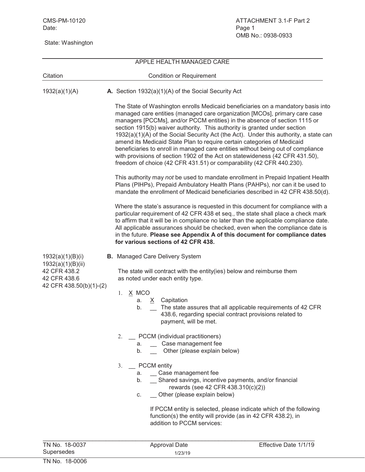State: Washington

|                                                   | APPLE HEALTH MANAGED CARE                                                                                                                                                                                                                                                                                                                                                                                                                                                                                                                                                                                                                                                                                                                |
|---------------------------------------------------|------------------------------------------------------------------------------------------------------------------------------------------------------------------------------------------------------------------------------------------------------------------------------------------------------------------------------------------------------------------------------------------------------------------------------------------------------------------------------------------------------------------------------------------------------------------------------------------------------------------------------------------------------------------------------------------------------------------------------------------|
| Citation                                          | <b>Condition or Requirement</b>                                                                                                                                                                                                                                                                                                                                                                                                                                                                                                                                                                                                                                                                                                          |
| 1932(a)(1)(A)                                     | A. Section 1932(a)(1)(A) of the Social Security Act                                                                                                                                                                                                                                                                                                                                                                                                                                                                                                                                                                                                                                                                                      |
|                                                   | The State of Washington enrolls Medicaid beneficiaries on a mandatory basis into<br>managed care entities (managed care organization [MCOs], primary care case<br>managers [PCCMs], and/or PCCM entities) in the absence of section 1115 or<br>section 1915(b) waiver authority. This authority is granted under section<br>1932(a)(1)(A) of the Social Security Act (the Act). Under this authority, a state can<br>amend its Medicaid State Plan to require certain categories of Medicaid<br>beneficiaries to enroll in managed care entities without being out of compliance<br>with provisions of section 1902 of the Act on statewideness (42 CFR 431.50),<br>freedom of choice (42 CFR 431.51) or comparability (42 CFR 440.230). |
|                                                   | This authority may not be used to mandate enrollment in Prepaid Inpatient Health<br>Plans (PIHPs), Prepaid Ambulatory Health Plans (PAHPs), nor can it be used to<br>mandate the enrollment of Medicaid beneficiaries described in 42 CFR 438.50(d).                                                                                                                                                                                                                                                                                                                                                                                                                                                                                     |
|                                                   | Where the state's assurance is requested in this document for compliance with a<br>particular requirement of 42 CFR 438 et seq., the state shall place a check mark<br>to affirm that it will be in compliance no later than the applicable compliance date.<br>All applicable assurances should be checked, even when the compliance date is<br>in the future. Please see Appendix A of this document for compliance dates<br>for various sections of 42 CFR 438.                                                                                                                                                                                                                                                                       |
| 1932(a)(1)(B)(i)                                  | <b>B.</b> Managed Care Delivery System                                                                                                                                                                                                                                                                                                                                                                                                                                                                                                                                                                                                                                                                                                   |
| 1932(a)(1)(B)(ii)<br>42 CFR 438.2<br>42 CFR 438.6 | The state will contract with the entity(ies) below and reimburse them<br>as noted under each entity type.                                                                                                                                                                                                                                                                                                                                                                                                                                                                                                                                                                                                                                |
| 42 CFR 438.50(b)(1)-(2)                           | X MCO<br>1.<br>Capitation<br>X<br>a.<br>The state assures that all applicable requirements of 42 CFR<br>b.<br>438.6, regarding special contract provisions related to<br>payment, will be met.                                                                                                                                                                                                                                                                                                                                                                                                                                                                                                                                           |
|                                                   | 2. PCCM (individual practitioners)<br>a. Case management fee<br>b. __ Other (please explain below)                                                                                                                                                                                                                                                                                                                                                                                                                                                                                                                                                                                                                                       |
|                                                   | _ PCCM entity<br>3.<br>a. _ Case management fee<br>b. _ Shared savings, incentive payments, and/or financial<br>rewards (see 42 CFR 438.310(c)(2))<br>Other (please explain below)<br>C.                                                                                                                                                                                                                                                                                                                                                                                                                                                                                                                                                 |
|                                                   | If PCCM entity is selected, please indicate which of the following<br>function(s) the entity will provide (as in 42 CFR 438.2), in<br>addition to PCCM services:                                                                                                                                                                                                                                                                                                                                                                                                                                                                                                                                                                         |

| TN No. 18-0037 | Approval Date | Effective Date 1/1/19 |
|----------------|---------------|-----------------------|
| Supersedes     | 1/23/19       |                       |
| TN No. 18-0006 |               |                       |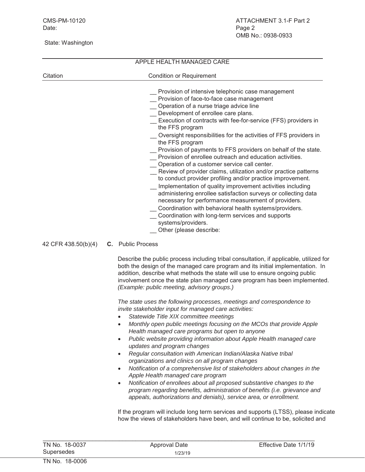|          | APPLE HEALTH MANAGED CARE                                                                                                                                                                                                                                                                                                                                                                                                                                                                                                                                                                                                                                                                                                                                                                                                                                                                                                                                                                                                           |  |  |  |  |  |
|----------|-------------------------------------------------------------------------------------------------------------------------------------------------------------------------------------------------------------------------------------------------------------------------------------------------------------------------------------------------------------------------------------------------------------------------------------------------------------------------------------------------------------------------------------------------------------------------------------------------------------------------------------------------------------------------------------------------------------------------------------------------------------------------------------------------------------------------------------------------------------------------------------------------------------------------------------------------------------------------------------------------------------------------------------|--|--|--|--|--|
| Citation | <b>Condition or Requirement</b>                                                                                                                                                                                                                                                                                                                                                                                                                                                                                                                                                                                                                                                                                                                                                                                                                                                                                                                                                                                                     |  |  |  |  |  |
|          | Provision of intensive telephonic case management<br>Provision of face-to-face case management<br>Operation of a nurse triage advice line<br>Development of enrollee care plans.<br>Execution of contracts with fee-for-service (FFS) providers in<br>the FFS program<br>Oversight responsibilities for the activities of FFS providers in<br>the FFS program<br>Provision of payments to FFS providers on behalf of the state.<br>Provision of enrollee outreach and education activities.<br>Operation of a customer service call center.<br>Review of provider claims, utilization and/or practice patterns<br>to conduct provider profiling and/or practice improvement.<br>Implementation of quality improvement activities including<br>administering enrollee satisfaction surveys or collecting data<br>necessary for performance measurement of providers.<br>Coordination with behavioral health systems/providers.<br>Coordination with long-term services and supports<br>systems/providers.<br>Other (please describe: |  |  |  |  |  |

```
42 CFR 438.50(b)(4) C. Public Process
```
Describe the public process including tribal consultation, if applicable, utilized for both the design of the managed care program and its initial implementation. In addition, describe what methods the state will use to ensure ongoing public involvement once the state plan managed care program has been implemented. *(Example: public meeting, advisory groups.)*

*The state uses the following processes, meetings and correspondence to invite stakeholder input for managed care activities:*

- x *Statewide Title XIX committee meetings*
- x *Monthly open public meetings focusing on the MCOs that provide Apple Health managed care programs but open to anyone*
- x *Public website providing information about Apple Health managed care updates and program changes*
- x *Regular consultation with American Indian/Alaska Native tribal organizations and clinics on all program changes*
- Notification of a comprehensive list of stakeholders about changes in the *Apple Health managed care program*
- **•** Notification of enrollees about all proposed substantive changes to the *program regarding benefits, administration of benefits (i.e. grievance and appeals, authorizations and denials), service area, or enrollment.*

If the program will include long term services and supports (LTSS), please indicate how the views of stakeholders have been, and will continue to be, solicited and

| TN No. 18-0037 | Approval Date | Effective Date 1/1/19 |
|----------------|---------------|-----------------------|
| Supersedes     | 1/23/19       |                       |
| TN No. 18-0006 |               |                       |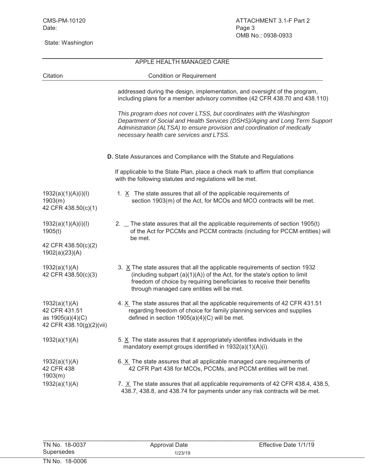## APPLE HEALTH MANAGED CARE Citation Citation Condition or Requirement addressed during the design, implementation, and oversight of the program, including plans for a member advisory committee (42 CFR 438.70 and 438.110) *This program does not cover LTSS, but coordinates with the Washington Department of Social and Health Services (DSHS)/Aging and Long Term Support Administration (ALTSA) to ensure provision and coordination of medically necessary health care services and LTSS.* **D.** State Assurances and Compliance with the Statute and Regulations If applicable to the State Plan, place a check mark to affirm that compliance with the following statutes and regulations will be met. 1932(a)(1)(A)(i)(I) 1.  $\times$  The state assures that all of the applicable requirements of 1903(m) section 1903(m) of the Act, for MCOs and MCO contracts will be met. 42 CFR 438.50(c)(1)  $1932(a)(1)(A)(i)(I)$  2. The state assures that all the applicable requirements of section 1905(t) 1905(t) of the Act for PCCMs and PCCM contracts (including for PCCM entities) will be met. 42 CFR 438.50(c)(2) 1902(a)(23)(A) 1932(a)(1)(A) 3. X The state assures that all the applicable requirements of section 1932 42 CFR 438.50(c)(3) (including subpart (a)(1)(A)) of the Act, for the state's option to limit freedom of choice by requiring beneficiaries to receive their benefits through managed care entities will be met. 1932(a)(1)(A) 4. X The state assures that all the applicable requirements of 42 CFR 431.51 42 CFR 431.51 regarding freedom of choice for family planning services and supplies as  $1905(a)(4)(C)$  defined in section  $1905(a)(4)(C)$  will be met. 42 CFR 438.10(g)(2)(vii) 1932(a)(1)(A) 5. X The state assures that it appropriately identifies individuals in the mandatory exempt groups identified in 1932(a)(1)(A)(i). 1932(a)(1)(A) 6. X The state assures that all applicable managed care requirements of 42 CFR 438 42 CFR Part 438 for MCOs, PCCMs, and PCCM entities will be met. 1903(m) 1932(a)(1)(A) 7.  $X$  The state assures that all applicable requirements of 42 CFR 438.4, 438.5, 438.7, 438.8, and 438.74 for payments under any risk contracts will be met.

 $\mathcal{L}_\text{max}$  , and the set of the set of the set of the set of the set of the set of the set of the set of the set of the set of the set of the set of the set of the set of the set of the set of the set of the set of the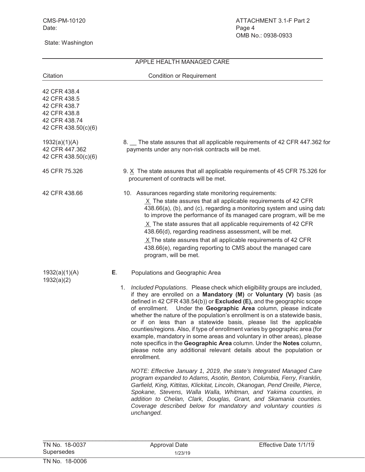## APPLE HEALTH MANAGED CARE Citation Citation Condition or Requirement 42 CFR 438.4 42 CFR 438.5 42 CFR 438.7 42 CFR 438.8 42 CFR 438.74 42 CFR 438.50(c)(6) 1932(a)(1)(A) 8. The state assures that all applicable requirements of 42 CFR 447.362 for 42 CFR 447.362 payments under any non-risk contracts will be met. 42 CFR 438.50(c)(6) 45 CFR 75.326 9. X The state assures that all applicable requirements of 45 CFR 75.326 for procurement of contracts will be met. 42 CFR 438.66 10. Assurances regarding state monitoring requirements: X The state assures that all applicable requirements of 42 CFR 438.66(a), (b), and (c), regarding a monitoring system and using data to improve the performance of its managed care program, will be me X The state assures that all applicable requirements of 42 CFR 438.66(d), regarding readiness assessment, will be met. X The state assures that all applicable requirements of 42 CFR 438.66(e), regarding reporting to CMS about the managed care program, will be met. 1932(a)(1)(A) **E**. 1932(a)(2) Populations and Geographic Area 1. *Included Populations*. Please check which eligibility groups are included, if they are enrolled on a **Mandatory (M)** or **Voluntary (V)** basis (as defined in 42 CFR 438.54(b)) or **Excluded (E),** and the geographic scope of enrollment. Under the **Geographic Area** column, please indicate whether the nature of the population's enrollment is on a statewide basis, or if on less than a statewide basis, please list the applicable counties/regions. Also, if type of enrollment varies by geographic area (for example, mandatory in some areas and voluntary in other areas), please note specifics in the **Geographic Area** column. Under the **Notes** column, please note any additional relevant details about the population or enrollment. *NOTE: Effective January 1, 2019, the state's Integrated Managed Care program expanded to Adams, Asotin, Benton, Columbia, Ferry, Franklin, Garfield, King, Kittitas, Klickitat, Lincoln, Okanogan, Pend Oreille, Pierce, Spokane, Stevens, Walla Walla, Whitman, and Yakima counties, in addition to Chelan, Clark, Douglas, Grant, and Skamania counties. Coverage described below for mandatory and voluntary counties is unchanged.*

 $\mathcal{L}_\text{max}$  , and the set of the set of the set of the set of the set of the set of the set of the set of the set of the set of the set of the set of the set of the set of the set of the set of the set of the set of the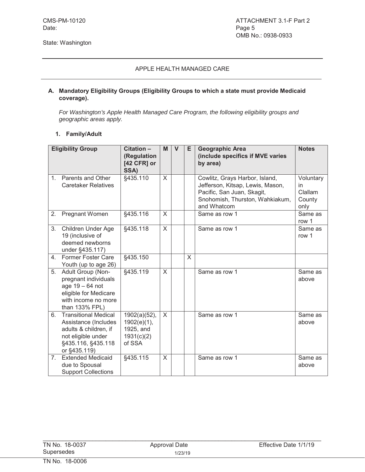#### **A. Mandatory Eligibility Groups (Eligibility Groups to which a state must provide Medicaid coverage).**

*For Washington's Apple Health Managed Care Program, the following eligibility groups and geographic areas apply.*

#### **1. Family/Adult**

|                | <b>Eligibility Group</b>                                                                                                                 | Citation -                                                          | M            | $\mathsf{V}$ | Е | <b>Geographic Area</b>                                                                                                                             | <b>Notes</b>                                 |
|----------------|------------------------------------------------------------------------------------------------------------------------------------------|---------------------------------------------------------------------|--------------|--------------|---|----------------------------------------------------------------------------------------------------------------------------------------------------|----------------------------------------------|
|                |                                                                                                                                          | (Regulation<br>[42 CFR] or<br>SSA)                                  |              |              |   | (include specifics if MVE varies<br>by area)                                                                                                       |                                              |
| $1_{-}$        | Parents and Other<br><b>Caretaker Relatives</b>                                                                                          | §435.110                                                            | $\times$     |              |   | Cowlitz, Grays Harbor, Island,<br>Jefferson, Kitsap, Lewis, Mason,<br>Pacific, San Juan, Skagit,<br>Snohomish, Thurston, Wahkiakum,<br>and Whatcom | Voluntary<br>in<br>Clallam<br>County<br>only |
| 2.             | Pregnant Women                                                                                                                           | §435.116                                                            | $\times$     |              |   | Same as row 1                                                                                                                                      | Same as<br>row 1                             |
| 3.             | Children Under Age<br>19 (inclusive of<br>deemed newborns<br>under §435.117)                                                             | §435.118                                                            | $\sf X$      |              |   | Same as row 1                                                                                                                                      | Same as<br>row 1                             |
| 4.             | <b>Former Foster Care</b><br>Youth (up to age 26)                                                                                        | §435.150                                                            |              |              | X |                                                                                                                                                    |                                              |
| 5.             | Adult Group (Non-<br>pregnant individuals<br>age $19 - 64$ not<br>eligible for Medicare<br>with income no more<br>than 133% FPL)         | §435.119                                                            | $\mathsf{X}$ |              |   | Same as row 1                                                                                                                                      | Same as<br>above                             |
| 6.             | <b>Transitional Medical</b><br>Assistance (Includes<br>adults & children, if<br>not eligible under<br>§435.116, §435.118<br>or §435.119) | 1902(a)(52),<br>$1902(e)(1)$ ,<br>1925, and<br>1931(c)(2)<br>of SSA | $\times$     |              |   | Same as row 1                                                                                                                                      | Same as<br>above                             |
| 7 <sup>1</sup> | <b>Extended Medicaid</b><br>due to Spousal<br><b>Support Collections</b>                                                                 | §435.115                                                            | X            |              |   | Same as row 1                                                                                                                                      | Same as<br>above                             |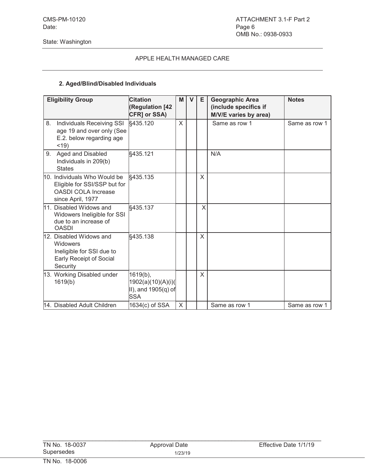#### **2. Aged/Blind/Disabled Individuals**

|    | <b>Eligibility Group</b>                                                                                        | <b>Citation</b><br>(Regulation [42<br>CFR] or SSA)                  | M | $\mathbf v$ | Е | <b>Geographic Area</b><br>(include specifics if<br>M/V/E varies by area) | <b>Notes</b>  |
|----|-----------------------------------------------------------------------------------------------------------------|---------------------------------------------------------------------|---|-------------|---|--------------------------------------------------------------------------|---------------|
| 8. | Individuals Receiving SSI<br>age 19 and over only (See<br>E.2. below regarding age<br>$<$ 19)                   | §435.120                                                            | X |             |   | Same as row 1                                                            | Same as row 1 |
| 9. | Aged and Disabled<br>Individuals in 209(b)<br><b>States</b>                                                     | §435.121                                                            |   |             |   | N/A                                                                      |               |
|    | 10. Individuals Who Would be<br>Eligible for SSI/SSP but for<br><b>OASDI COLA Increase</b><br>since April, 1977 | §435.135                                                            |   |             | X |                                                                          |               |
|    | 11. Disabled Widows and<br>Widowers Ineligible for SSI<br>due to an increase of<br><b>OASDI</b>                 | §435.137                                                            |   |             | X |                                                                          |               |
|    | 12. Disabled Widows and<br>Widowers<br>Ineligible for SSI due to<br>Early Receipt of Social<br>Security         | §435.138                                                            |   |             | X |                                                                          |               |
|    | 13. Working Disabled under<br>1619(b)                                                                           | 1619(b),<br>1902(a)(10)(A)(i)(<br>II), and 1905(q) of<br><b>SSA</b> |   |             | X |                                                                          |               |
|    | 14. Disabled Adult Children                                                                                     | 1634(c) of SSA                                                      | X |             |   | Same as row 1                                                            | Same as row 1 |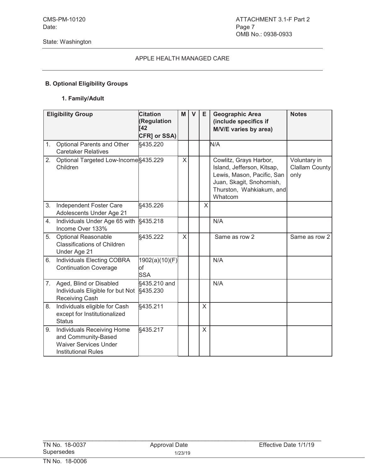## **B. Optional Eligibility Groups**

#### **1. Family/Adult**

|    | <b>Eligibility Group</b>                                                                                        | <b>Citation</b><br>(Regulation<br><b>T42</b><br>CFR] or SSA) | M | $\mathbf{V}$ | E       | <b>Geographic Area</b><br>(include specifics if<br>M/V/E varies by area)                                                                              | <b>Notes</b>                                  |
|----|-----------------------------------------------------------------------------------------------------------------|--------------------------------------------------------------|---|--------------|---------|-------------------------------------------------------------------------------------------------------------------------------------------------------|-----------------------------------------------|
| 1. | Optional Parents and Other<br><b>Caretaker Relatives</b>                                                        | §435.220                                                     |   |              |         | N/A                                                                                                                                                   |                                               |
| 2. | Optional Targeted Low-Income §435.229<br>Children                                                               |                                                              | X |              |         | Cowlitz, Grays Harbor,<br>Island, Jefferson, Kitsap,<br>Lewis, Mason, Pacific, San<br>Juan, Skagit, Snohomish,<br>Thurston, Wahkiakum, and<br>Whatcom | Voluntary in<br><b>Clallam County</b><br>only |
| 3. | Independent Foster Care<br>Adolescents Under Age 21                                                             | §435.226                                                     |   |              | X       |                                                                                                                                                       |                                               |
| 4. | Individuals Under Age 65 with<br>Income Over 133%                                                               | §435.218                                                     |   |              |         | N/A                                                                                                                                                   |                                               |
| 5. | <b>Optional Reasonable</b><br><b>Classifications of Children</b><br>Under Age 21                                | §435.222                                                     | X |              |         | Same as row 2                                                                                                                                         | Same as row 2                                 |
| 6. | <b>Individuals Electing COBRA</b><br><b>Continuation Coverage</b>                                               | 1902(a)(10)(F)<br>lof<br><b>SSA</b>                          |   |              |         | N/A                                                                                                                                                   |                                               |
| 7. | Aged, Blind or Disabled<br>Individuals Eligible for but Not<br>Receiving Cash                                   | §435.210 and<br>§435.230                                     |   |              |         | N/A                                                                                                                                                   |                                               |
| 8. | Individuals eligible for Cash<br>except for Institutionalized<br><b>Status</b>                                  | §435.211                                                     |   |              | $\sf X$ |                                                                                                                                                       |                                               |
| 9. | Individuals Receiving Home<br>and Community-Based<br><b>Waiver Services Under</b><br><b>Institutional Rules</b> | §435.217                                                     |   |              | X       |                                                                                                                                                       |                                               |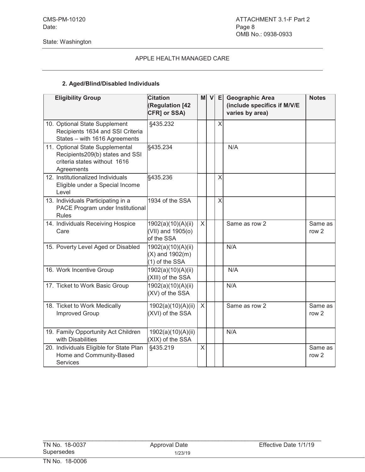#### **2. Aged/Blind/Disabled Individuals**

| <b>Eligibility Group</b>                                                                                         | <b>Citation</b><br><b>(Regulation [42</b><br>CFR] or SSA)    | мl           | vl | E | <b>Geographic Area</b><br>(include specifics if M/V/E<br>varies by area) | <b>Notes</b>                |
|------------------------------------------------------------------------------------------------------------------|--------------------------------------------------------------|--------------|----|---|--------------------------------------------------------------------------|-----------------------------|
| 10. Optional State Supplement<br>Recipients 1634 and SSI Criteria<br>States - with 1616 Agreements               | §435.232                                                     |              |    | X |                                                                          |                             |
| 11. Optional State Supplemental<br>Recipients209(b) states and SSI<br>criteria states without 1616<br>Agreements | §435.234                                                     |              |    |   | N/A                                                                      |                             |
| 12. Institutionalized Individuals<br>Eligible under a Special Income<br>Level                                    | §435.236                                                     |              |    | X |                                                                          |                             |
| 13. Individuals Participating in a<br>PACE Program under Institutional<br><b>Rules</b>                           | 1934 of the SSA                                              |              |    | X |                                                                          |                             |
| 14. Individuals Receiving Hospice<br>Care                                                                        | 1902(a)(10)(A)(ii)<br>(VII) and 1905(o)<br>of the SSA        | $\times$     |    |   | Same as row 2                                                            | Same as<br>row <sub>2</sub> |
| 15. Poverty Level Aged or Disabled                                                                               | 1902(a)(10)(A)(ii)<br>$(X)$ and 1902 $(m)$<br>(1) of the SSA |              |    |   | N/A                                                                      |                             |
| 16. Work Incentive Group                                                                                         | 1902(a)(10)(A)(ii)<br>(XIII) of the SSA                      |              |    |   | N/A                                                                      |                             |
| 17. Ticket to Work Basic Group                                                                                   | 1902(a)(10)(A)(ii)<br>(XV) of the SSA                        |              |    |   | N/A                                                                      |                             |
| 18. Ticket to Work Medically<br><b>Improved Group</b>                                                            | 1902(a)(10)(A)(ii)<br>(XVI) of the SSA                       | $\times$     |    |   | Same as row 2                                                            | Same as<br>row <sub>2</sub> |
| 19. Family Opportunity Act Children<br>with Disabilities                                                         | 1902(a)(10)(A)(ii)<br>(XIX) of the SSA                       |              |    |   | N/A                                                                      |                             |
| 20. Individuals Eligible for State Plan<br>Home and Community-Based<br><b>Services</b>                           | §435.219                                                     | $\mathsf{X}$ |    |   |                                                                          | Same as<br>row <sub>2</sub> |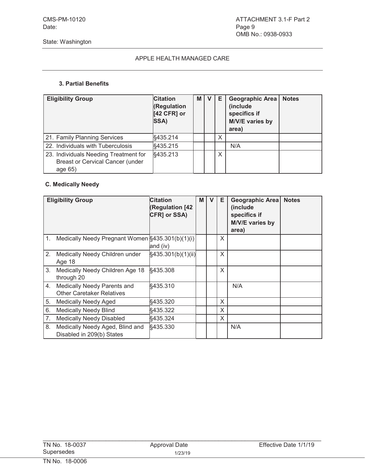#### **3. Partial Benefits**

| <b>Eligibility Group</b>                                                                    | <b>Citation</b><br><b>(Regulation</b><br>[42 CFR] or<br>SSA) | M I | Е | <b>Geographic Area</b><br>(include<br>specifics if<br>M/V/E varies by<br>area) | <b>Notes</b> |
|---------------------------------------------------------------------------------------------|--------------------------------------------------------------|-----|---|--------------------------------------------------------------------------------|--------------|
| 21. Family Planning Services                                                                | §435.214                                                     |     | X |                                                                                |              |
| 22. Individuals with Tuberculosis                                                           | §435.215                                                     |     |   | N/A                                                                            |              |
| 23. Individuals Needing Treatment for<br><b>Breast or Cervical Cancer (under</b><br>age 65) | §435.213                                                     |     | X |                                                                                |              |

## **C. Medically Needy**

|    | <b>Eligibility Group</b>                                        | <b>Citation</b><br>(Regulation [42<br>CFR] or SSA) | M | $\mathbf v$ | Е | Geographic Area<br>(include<br>specifics if<br>M/V/E varies by<br>area) | <b>Notes</b> |
|----|-----------------------------------------------------------------|----------------------------------------------------|---|-------------|---|-------------------------------------------------------------------------|--------------|
|    | 1. Medically Needy Pregnant Women §435.301(b)(1)(i)             | and (iv)                                           |   |             | X |                                                                         |              |
| 2. | Medically Needy Children under<br>Age 18                        | §435.301(b)(1)(ii)                                 |   |             | X |                                                                         |              |
| 3. | Medically Needy Children Age 18<br>through 20                   | §435.308                                           |   |             | X |                                                                         |              |
| 4. | Medically Needy Parents and<br><b>Other Caretaker Relatives</b> | §435.310                                           |   |             |   | N/A                                                                     |              |
| 5. | <b>Medically Needy Aged</b>                                     | §435.320                                           |   |             | X |                                                                         |              |
| 6. | <b>Medically Needy Blind</b>                                    | §435.322                                           |   |             | X |                                                                         |              |
| 7. | <b>Medically Needy Disabled</b>                                 | §435.324                                           |   |             | X |                                                                         |              |
| 8. | Medically Needy Aged, Blind and<br>Disabled in 209(b) States    | §435.330                                           |   |             |   | N/A                                                                     |              |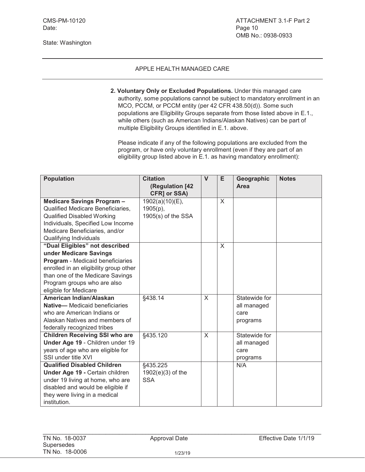State: Washington

## APPLE HEALTH MANAGED CARE

**2. Voluntary Only or Excluded Populations.** Under this managed care authority, some populations cannot be subject to mandatory enrollment in an MCO, PCCM, or PCCM entity (per 42 CFR 438.50(d)). Some such populations are Eligibility Groups separate from those listed above in E.1., while others (such as American Indians/Alaskan Natives) can be part of multiple Eligibility Groups identified in E.1. above.

Please indicate if any of the following populations are excluded from the program, or have only voluntary enrollment (even if they are part of an eligibility group listed above in E.1. as having mandatory enrollment):

| <b>Population</b>                                        | <b>Citation</b>                 | $\mathbf{V}$ | E | Geographic      | <b>Notes</b> |
|----------------------------------------------------------|---------------------------------|--------------|---|-----------------|--------------|
|                                                          | (Regulation [42<br>CFR] or SSA) |              |   | Area            |              |
| Medicare Savings Program -                               | $1902(a)(10)(E)$ ,              |              | X |                 |              |
| Qualified Medicare Beneficiaries,                        | $1905(p)$ ,                     |              |   |                 |              |
| <b>Qualified Disabled Working</b>                        | $1905(s)$ of the SSA            |              |   |                 |              |
| Individuals, Specified Low Income                        |                                 |              |   |                 |              |
| Medicare Beneficiaries, and/or                           |                                 |              |   |                 |              |
| Qualifying Individuals                                   |                                 |              |   |                 |              |
| "Dual Eligibles" not described                           |                                 |              | X |                 |              |
| under Medicare Savings                                   |                                 |              |   |                 |              |
| Program - Medicaid beneficiaries                         |                                 |              |   |                 |              |
| enrolled in an eligibility group other                   |                                 |              |   |                 |              |
| than one of the Medicare Savings                         |                                 |              |   |                 |              |
| Program groups who are also                              |                                 |              |   |                 |              |
| eligible for Medicare                                    |                                 |              |   |                 |              |
| American Indian/Alaskan                                  | §438.14                         | $\sf X$      |   | Statewide for   |              |
| <b>Native-</b> Medicaid beneficiaries                    |                                 |              |   | all managed     |              |
| who are American Indians or                              |                                 |              |   | care            |              |
| Alaskan Natives and members of                           |                                 |              |   | programs        |              |
| federally recognized tribes                              |                                 |              |   |                 |              |
| <b>Children Receiving SSI who are</b>                    | §435.120                        | $\mathsf{X}$ |   | Statewide for   |              |
| Under Age 19 - Children under 19                         |                                 |              |   | all managed     |              |
| years of age who are eligible for<br>SSI under title XVI |                                 |              |   | care            |              |
| <b>Qualified Disabled Children</b>                       | §435.225                        |              |   | programs<br>N/A |              |
| Under Age 19 - Certain children                          | $1902(e)(3)$ of the             |              |   |                 |              |
| under 19 living at home, who are                         | <b>SSA</b>                      |              |   |                 |              |
| disabled and would be eligible if                        |                                 |              |   |                 |              |
| they were living in a medical                            |                                 |              |   |                 |              |
| institution.                                             |                                 |              |   |                 |              |
|                                                          |                                 |              |   |                 |              |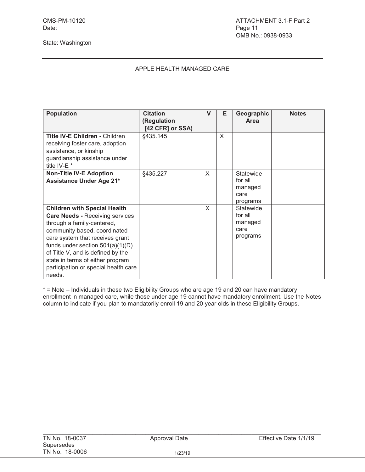## APPLE HEALTH MANAGED CARE

| <b>Population</b>                                                                                                                                                                                                                                                                                                                               | <b>Citation</b><br>(Regulation<br>[42 CFR] or SSA) | V | Е | Geographic<br>Area                                  | <b>Notes</b> |
|-------------------------------------------------------------------------------------------------------------------------------------------------------------------------------------------------------------------------------------------------------------------------------------------------------------------------------------------------|----------------------------------------------------|---|---|-----------------------------------------------------|--------------|
| <b>Title IV-E Children - Children</b><br>receiving foster care, adoption<br>assistance, or kinship<br>guardianship assistance under<br>title IV-E <sup>*</sup>                                                                                                                                                                                  | §435.145                                           |   | X |                                                     |              |
| <b>Non-Title IV-E Adoption</b><br><b>Assistance Under Age 21*</b>                                                                                                                                                                                                                                                                               | §435.227                                           | X |   | Statewide<br>for all<br>managed<br>care<br>programs |              |
| <b>Children with Special Health</b><br><b>Care Needs - Receiving services</b><br>through a family-centered,<br>community-based, coordinated<br>care system that receives grant<br>funds under section $501(a)(1)(D)$<br>of Title V, and is defined by the<br>state in terms of either program<br>participation or special health care<br>needs. |                                                    | X |   | Statewide<br>for all<br>managed<br>care<br>programs |              |

\* = Note – Individuals in these two Eligibility Groups who are age 19 and 20 can have mandatory enrollment in managed care, while those under age 19 cannot have mandatory enrollment. Use the Notes column to indicate if you plan to mandatorily enroll 19 and 20 year olds in these Eligibility Groups.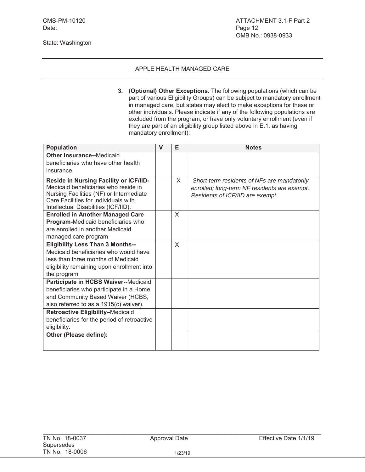**3. (Optional) Other Exceptions.** The following populations (which can be part of various Eligibility Groups) can be subject to mandatory enrollment in managed care, but states may elect to make exceptions for these or other individuals. Please indicate if any of the following populations are excluded from the program, or have only voluntary enrollment (even if they are part of an eligibility group listed above in E.1. as having mandatory enrollment):

| <b>Population</b>                                                               | $\mathbf v$ | Е | <b>Notes</b>                                 |
|---------------------------------------------------------------------------------|-------------|---|----------------------------------------------|
| <b>Other Insurance--Medicaid</b>                                                |             |   |                                              |
| beneficiaries who have other health                                             |             |   |                                              |
| insurance                                                                       |             |   |                                              |
| Reside in Nursing Facility or ICF/IID-                                          |             | X | Short-term residents of NFs are mandatorily  |
| Medicaid beneficiaries who reside in                                            |             |   | enrolled; long-term NF residents are exempt. |
| Nursing Facilities (NF) or Intermediate<br>Care Facilities for Individuals with |             |   | Residents of ICF/IID are exempt.             |
| Intellectual Disabilities (ICF/IID).                                            |             |   |                                              |
| <b>Enrolled in Another Managed Care</b>                                         |             | X |                                              |
| Program-Medicaid beneficiaries who                                              |             |   |                                              |
| are enrolled in another Medicaid                                                |             |   |                                              |
| managed care program                                                            |             |   |                                              |
| <b>Eligibility Less Than 3 Months--</b>                                         |             | X |                                              |
| Medicaid beneficiaries who would have                                           |             |   |                                              |
| less than three months of Medicaid                                              |             |   |                                              |
| eligibility remaining upon enrollment into                                      |             |   |                                              |
| the program                                                                     |             |   |                                              |
| Participate in HCBS Waiver--Medicaid                                            |             |   |                                              |
| beneficiaries who participate in a Home                                         |             |   |                                              |
| and Community Based Waiver (HCBS,                                               |             |   |                                              |
| also referred to as a 1915(c) waiver).                                          |             |   |                                              |
| Retroactive Eligibility-Medicaid                                                |             |   |                                              |
| beneficiaries for the period of retroactive<br>eligibility.                     |             |   |                                              |
|                                                                                 |             |   |                                              |
| Other (Please define):                                                          |             |   |                                              |
|                                                                                 |             |   |                                              |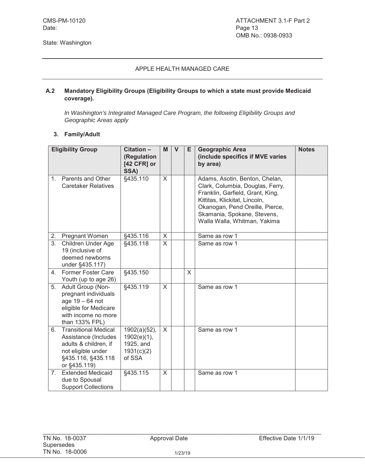#### **A.2 Mandatory Eligibility Groups (Eligibility Groups to which a state must provide Medicaid coverage).**

*In Washington's Integrated Managed Care Program, the following Eligibility Groups and Geographic Areas apply*

#### **3. Family/Adult**

|                | <b>Eligibility Group</b>                                                                                                                 | Citation -<br>(Regulation<br>[42 CFR] or<br>SSA)                    | M            | $\mathbf{V}$ | E.      | <b>Geographic Area</b><br>(include specifics if MVE varies<br>by area)                                                                                                                                                                    | <b>Notes</b> |
|----------------|------------------------------------------------------------------------------------------------------------------------------------------|---------------------------------------------------------------------|--------------|--------------|---------|-------------------------------------------------------------------------------------------------------------------------------------------------------------------------------------------------------------------------------------------|--------------|
| $1_{\cdot}$    | Parents and Other<br><b>Caretaker Relatives</b>                                                                                          | §435.110                                                            | X            |              |         | Adams, Asotin, Benton, Chelan,<br>Clark, Columbia, Douglas, Ferry,<br>Franklin, Garfield, Grant, King,<br>Kittitas, Klickitat, Lincoln,<br>Okanogan, Pend Oreille, Pierce,<br>Skamania, Spokane, Stevens,<br>Walla Walla, Whitman, Yakima |              |
| 2.             | Pregnant Women                                                                                                                           | §435.116                                                            | X            |              |         | Same as row 1                                                                                                                                                                                                                             |              |
| 3.             | Children Under Age<br>19 (inclusive of<br>deemed newborns<br>under §435.117)                                                             | §435.118                                                            | X.           |              |         | Same as row 1                                                                                                                                                                                                                             |              |
| 4.             | Former Foster Care<br>Youth (up to age 26)                                                                                               | §435.150                                                            |              |              | $\sf X$ |                                                                                                                                                                                                                                           |              |
| 5.             | Adult Group (Non-<br>pregnant individuals<br>age 19 - 64 not<br>eligible for Medicare<br>with income no more<br>than 133% FPL)           | §435.119                                                            | $\mathsf{X}$ |              |         | Same as row 1                                                                                                                                                                                                                             |              |
| 6.             | <b>Transitional Medical</b><br>Assistance (Includes<br>adults & children, if<br>not eligible under<br>§435.116, §435.118<br>or §435.119) | $1902(a)(52)$ ,<br>1902(e)(1),<br>1925, and<br>1931(c)(2)<br>of SSA | X            |              |         | Same as row 1                                                                                                                                                                                                                             |              |
| 7 <sup>1</sup> | <b>Extended Medicaid</b><br>due to Spousal<br><b>Support Collections</b>                                                                 | §435.115                                                            | X.           |              |         | Same as row 1                                                                                                                                                                                                                             |              |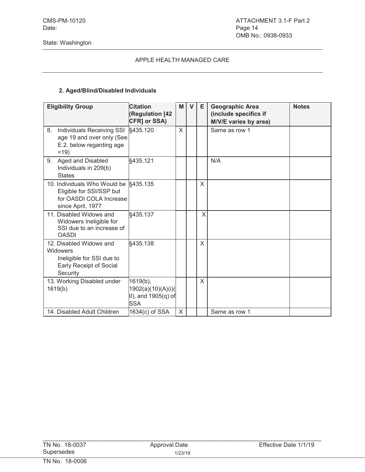## **2. Aged/Blind/Disabled Individuals**

| <b>Eligibility Group</b>                                                                                          | <b>Citation</b><br>(Regulation [42<br>CFR] or SSA)                     | M | $\mathbf v$ | Е | <b>Geographic Area</b><br>(include specifics if<br>M/V/E varies by area) | <b>Notes</b> |
|-------------------------------------------------------------------------------------------------------------------|------------------------------------------------------------------------|---|-------------|---|--------------------------------------------------------------------------|--------------|
| Individuals Receiving SSI<br>8.<br>age 19 and over only (See<br>E.2. below regarding age<br>$<$ 19)               | §435.120                                                               | X |             |   | Same as row 1                                                            |              |
| Aged and Disabled<br>9.<br>Individuals in 209(b)<br><b>States</b>                                                 | §435.121                                                               |   |             |   | N/A                                                                      |              |
| 10. Individuals Who Would be §435.135<br>Eligible for SSI/SSP but<br>for OASDI COLA Increase<br>since April, 1977 |                                                                        |   |             | X |                                                                          |              |
| 11. Disabled Widows and<br>Widowers Ineligible for<br>SSI due to an increase of<br><b>OASDI</b>                   | §435.137                                                               |   |             | X |                                                                          |              |
| 12. Disabled Widows and<br>Widowers<br>Ineligible for SSI due to<br>Early Receipt of Social<br>Security           | §435.138                                                               |   |             | X |                                                                          |              |
| 13. Working Disabled under<br>1619(b)                                                                             | $1619(b)$ ,<br>1902(a)(10)(A)(i)(<br>II), and 1905(q) of<br><b>SSA</b> |   |             | X |                                                                          |              |
| 14. Disabled Adult Children                                                                                       | 1634(c) of SSA                                                         | X |             |   | Same as row 1                                                            |              |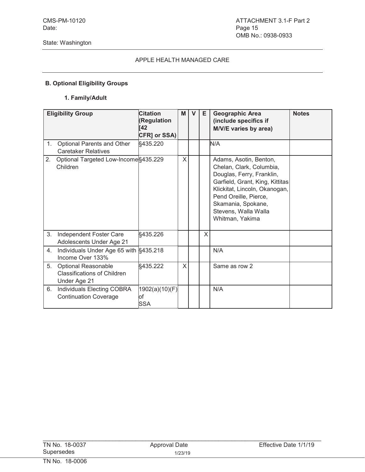## **B. Optional Eligibility Groups**

## **1. Family/Adult**

|    | <b>Eligibility Group</b>                                                         | <b>Citation</b><br>(Regulation<br>[42<br><b>CFR] or SSA)</b> | M | $\mathsf{V}$ | Е | <b>Geographic Area</b><br>(include specifics if<br>M/V/E varies by area)                                                                                                                                                                      | <b>Notes</b> |
|----|----------------------------------------------------------------------------------|--------------------------------------------------------------|---|--------------|---|-----------------------------------------------------------------------------------------------------------------------------------------------------------------------------------------------------------------------------------------------|--------------|
| 1. | Optional Parents and Other<br><b>Caretaker Relatives</b>                         | §435.220                                                     |   |              |   | N/A                                                                                                                                                                                                                                           |              |
| 2. | Optional Targeted Low-Income §435.229<br>Children                                |                                                              | X |              |   | Adams, Asotin, Benton,<br>Chelan, Clark, Columbia,<br>Douglas, Ferry, Franklin,<br>Garfield, Grant, King, Kittitas<br>Klickitat, Lincoln, Okanogan,<br>Pend Oreille, Pierce,<br>Skamania, Spokane,<br>Stevens, Walla Walla<br>Whitman, Yakima |              |
| 3. | Independent Foster Care<br>Adolescents Under Age 21                              | §435.226                                                     |   |              | X |                                                                                                                                                                                                                                               |              |
| 4. | Individuals Under Age 65 with §435.218<br>Income Over 133%                       |                                                              |   |              |   | N/A                                                                                                                                                                                                                                           |              |
| 5. | <b>Optional Reasonable</b><br><b>Classifications of Children</b><br>Under Age 21 | §435.222                                                     | X |              |   | Same as row 2                                                                                                                                                                                                                                 |              |
| 6. | Individuals Electing COBRA<br><b>Continuation Coverage</b>                       | 1902(a)(10)(F)<br>lof<br><b>SSA</b>                          |   |              |   | N/A                                                                                                                                                                                                                                           |              |

| TN No. 18-0037 | Approval Date | Effective Date 1/1/19 |
|----------------|---------------|-----------------------|
| Supersedes     | 1/23/19       |                       |
| TN No. 18-0006 |               |                       |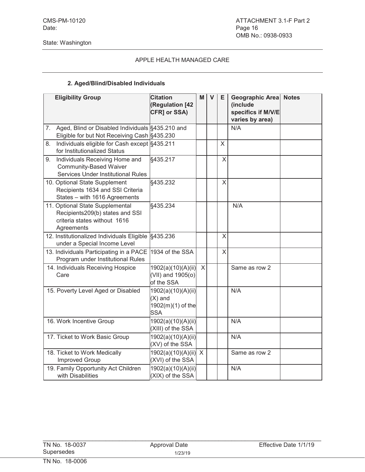## APPLE HEALTH MANAGED CARE

## **2. Aged/Blind/Disabled Individuals**

|    | <b>Eligibility Group</b>                                                                                         | <b>Citation</b><br>(Regulation [42<br>CFR] or SSA)                 | M | $\mathsf{V}$ | Е | Geographic Area Notes<br>(include<br>specifics if M/V/E<br>varies by area) |  |
|----|------------------------------------------------------------------------------------------------------------------|--------------------------------------------------------------------|---|--------------|---|----------------------------------------------------------------------------|--|
| 7. | Aged, Blind or Disabled Individuals §435.210 and<br>Eligible for but Not Receiving Cash §435.230                 |                                                                    |   |              |   | N/A                                                                        |  |
| 8. | Individuals eligible for Cash except §435.211<br>for Institutionalized Status                                    |                                                                    |   |              | X |                                                                            |  |
| 9. | Individuals Receiving Home and<br><b>Community-Based Waiver</b><br><b>Services Under Institutional Rules</b>     | §435.217                                                           |   |              | X |                                                                            |  |
|    | 10. Optional State Supplement<br>Recipients 1634 and SSI Criteria<br>States - with 1616 Agreements               | §435.232                                                           |   |              | X |                                                                            |  |
|    | 11. Optional State Supplemental<br>Recipients209(b) states and SSI<br>criteria states without 1616<br>Agreements | §435.234                                                           |   |              |   | N/A                                                                        |  |
|    | 12. Institutionalized Individuals Eligible<br>under a Special Income Level                                       | §435.236                                                           |   |              | X |                                                                            |  |
|    | 13. Individuals Participating in a PACE<br>Program under Institutional Rules                                     | 1934 of the SSA                                                    |   |              | X |                                                                            |  |
|    | 14. Individuals Receiving Hospice<br>Care                                                                        | 1902(a)(10)(A)(ii)<br>(VII) and 1905(o)<br>of the SSA              | X |              |   | Same as row 2                                                              |  |
|    | 15. Poverty Level Aged or Disabled                                                                               | 1902(a)(10)(A)(ii)<br>$(X)$ and<br>1902(m)(1) of the<br><b>SSA</b> |   |              |   | N/A                                                                        |  |
|    | 16. Work Incentive Group                                                                                         | 1902(a)(10)(A)(ii)<br>(XIII) of the SSA                            |   |              |   | N/A                                                                        |  |
|    | 17. Ticket to Work Basic Group                                                                                   | 1902(a)(10)(A)(ii)<br>(XV) of the SSA                              |   |              |   | N/A                                                                        |  |
|    | 18. Ticket to Work Medically<br><b>Improved Group</b>                                                            | 1902(a)(10)(A)(ii) X<br>(XVI) of the SSA                           |   |              |   | Same as row 2                                                              |  |
|    | 19. Family Opportunity Act Children<br>with Disabilities                                                         | 1902(a)(10)(A)(ii)<br>(XIX) of the SSA                             |   |              |   | N/A                                                                        |  |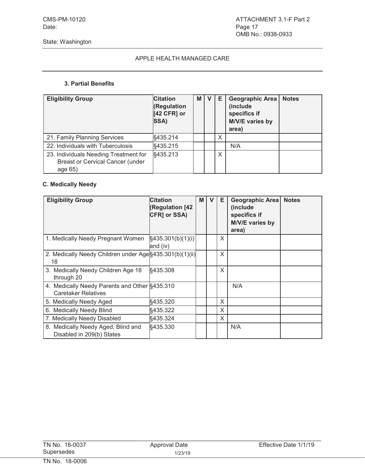#### **3. Partial Benefits**

| <b>Eligibility Group</b>                                                                    | <b>Citation</b><br><b>(Regulation</b><br>[42 CFR] or<br>SSA) | M I | Е | <b>Geographic Area</b><br>(include<br>specifics if<br>M/V/E varies by<br>area) | <b>Notes</b> |
|---------------------------------------------------------------------------------------------|--------------------------------------------------------------|-----|---|--------------------------------------------------------------------------------|--------------|
| 21. Family Planning Services                                                                | §435.214                                                     |     | X |                                                                                |              |
| 22. Individuals with Tuberculosis                                                           | §435.215                                                     |     |   | N/A                                                                            |              |
| 23. Individuals Needing Treatment for<br><b>Breast or Cervical Cancer (under</b><br>age 65) | §435.213                                                     |     | Χ |                                                                                |              |

## **C. Medically Needy**

| <b>Eligibility Group</b>                                                    | <b>Citation</b><br>(Regulation [42<br>CFR] or SSA) | M | v | Е | Geographic Area<br>(include<br>specifics if<br>M/V/E varies by<br>area) | <b>Notes</b> |
|-----------------------------------------------------------------------------|----------------------------------------------------|---|---|---|-------------------------------------------------------------------------|--------------|
| 1. Medically Needy Pregnant Women                                           | §435.301(b)(1)(i)<br>and (iv)                      |   |   | X |                                                                         |              |
| 2. Medically Needy Children under Age §435.301(b)(1)(ii)<br>18              |                                                    |   |   | X |                                                                         |              |
| 3. Medically Needy Children Age 18<br>through 20                            | §435.308                                           |   |   | X |                                                                         |              |
| 4. Medically Needy Parents and Other §435.310<br><b>Caretaker Relatives</b> |                                                    |   |   |   | N/A                                                                     |              |
| 5. Medically Needy Aged                                                     | §435.320                                           |   |   | X |                                                                         |              |
| 6. Medically Needy Blind                                                    | §435.322                                           |   |   | X |                                                                         |              |
| 7. Medically Needy Disabled                                                 | §435.324                                           |   |   | X |                                                                         |              |
| 8. Medically Needy Aged, Blind and<br>Disabled in 209(b) States             | §435.330                                           |   |   |   | N/A                                                                     |              |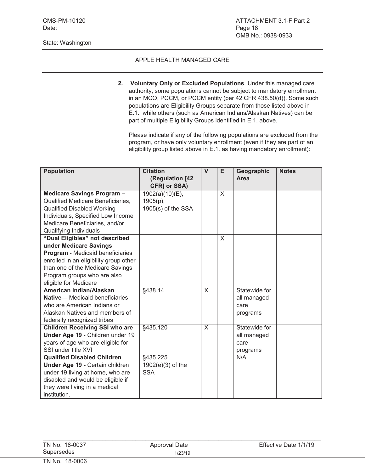#### APPLE HEALTH MANAGED CARE

**2. Voluntary Only or Excluded Populations***.* Under this managed care authority, some populations cannot be subject to mandatory enrollment in an MCO, PCCM, or PCCM entity (per 42 CFR 438.50(d)). Some such populations are Eligibility Groups separate from those listed above in E.1., while others (such as American Indians/Alaskan Natives) can be part of multiple Eligibility Groups identified in E.1. above.

Please indicate if any of the following populations are excluded from the program, or have only voluntary enrollment (even if they are part of an eligibility group listed above in E.1. as having mandatory enrollment):

| <b>Population</b>                      | <b>Citation</b>     | $\mathsf{V}$ | E | Geographic    | <b>Notes</b> |
|----------------------------------------|---------------------|--------------|---|---------------|--------------|
|                                        | (Regulation [42     |              |   | Area          |              |
|                                        | CFR] or SSA)        |              |   |               |              |
| Medicare Savings Program-              | 1902(a)(10)(E),     |              | X |               |              |
| Qualified Medicare Beneficiaries,      | $1905(p)$ ,         |              |   |               |              |
| <b>Qualified Disabled Working</b>      | 1905(s) of the SSA  |              |   |               |              |
| Individuals, Specified Low Income      |                     |              |   |               |              |
| Medicare Beneficiaries, and/or         |                     |              |   |               |              |
| Qualifying Individuals                 |                     |              |   |               |              |
| "Dual Eligibles" not described         |                     |              | X |               |              |
| under Medicare Savings                 |                     |              |   |               |              |
| Program - Medicaid beneficiaries       |                     |              |   |               |              |
| enrolled in an eligibility group other |                     |              |   |               |              |
| than one of the Medicare Savings       |                     |              |   |               |              |
| Program groups who are also            |                     |              |   |               |              |
| eligible for Medicare                  |                     |              |   |               |              |
| American Indian/Alaskan                | §438.14             | $\sf X$      |   | Statewide for |              |
| <b>Native-</b> Medicaid beneficiaries  |                     |              |   | all managed   |              |
| who are American Indians or            |                     |              |   | care          |              |
| Alaskan Natives and members of         |                     |              |   | programs      |              |
| federally recognized tribes            |                     |              |   |               |              |
| <b>Children Receiving SSI who are</b>  | §435.120            | $\mathsf{X}$ |   | Statewide for |              |
| Under Age 19 - Children under 19       |                     |              |   | all managed   |              |
| years of age who are eligible for      |                     |              |   | care          |              |
| SSI under title XVI                    |                     |              |   | programs      |              |
| <b>Qualified Disabled Children</b>     | §435.225            |              |   | N/A           |              |
| Under Age 19 - Certain children        | $1902(e)(3)$ of the |              |   |               |              |
| under 19 living at home, who are       | <b>SSA</b>          |              |   |               |              |
| disabled and would be eligible if      |                     |              |   |               |              |
| they were living in a medical          |                     |              |   |               |              |
| institution.                           |                     |              |   |               |              |

 $\mathcal{L}_\text{max}$  , and the contribution of the contribution of the contribution of the contribution of the contribution of the contribution of the contribution of the contribution of the contribution of the contribution of t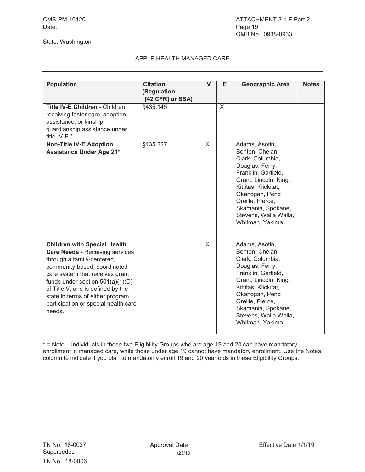## APPLE HEALTH MANAGED CARE

| <b>Population</b>                                                                                                                                                                                                                                                                                                                               | <b>Citation</b><br>(Regulation<br>[42 CFR] or SSA) | V | Е       | Geographic Area                                                                                                                                                                                                                                          | <b>Notes</b> |
|-------------------------------------------------------------------------------------------------------------------------------------------------------------------------------------------------------------------------------------------------------------------------------------------------------------------------------------------------|----------------------------------------------------|---|---------|----------------------------------------------------------------------------------------------------------------------------------------------------------------------------------------------------------------------------------------------------------|--------------|
| Title IV-E Children - Children<br>receiving foster care, adoption<br>assistance, or kinship<br>guardianship assistance under<br>title IV-E <sup>*</sup>                                                                                                                                                                                         | §435.145                                           |   | $\sf X$ |                                                                                                                                                                                                                                                          |              |
| <b>Non-Title IV-E Adoption</b><br><b>Assistance Under Age 21*</b>                                                                                                                                                                                                                                                                               | §435.227                                           | X |         | Adams, Asotin,<br>Benton, Chelan,<br>Clark, Columbia,<br>Douglas, Ferry,<br>Franklin, Garfield,<br>Grant, Lincoln, King,<br>Kittitas, Klickitat,<br>Okanogan, Pend<br>Oreille, Pierce,<br>Skamania, Spokane,<br>Stevens, Walla Walla,<br>Whitman, Yakima |              |
| <b>Children with Special Health</b><br><b>Care Needs - Receiving services</b><br>through a family-centered,<br>community-based, coordinated<br>care system that receives grant<br>funds under section $501(a)(1)(D)$<br>of Title V, and is defined by the<br>state in terms of either program<br>participation or special health care<br>needs. |                                                    | X |         | Adams, Asotin,<br>Benton, Chelan,<br>Clark, Columbia,<br>Douglas, Ferry,<br>Franklin, Garfield,<br>Grant, Lincoln, King,<br>Kittitas, Klickitat,<br>Okanogan, Pend<br>Oreille, Pierce,<br>Skamania, Spokane,<br>Stevens, Walla Walla,<br>Whitman, Yakima |              |

\* = Note – Individuals in these two Eligibility Groups who are age 19 and 20 can have mandatory enrollment in managed care, while those under age 19 cannot have mandatory enrollment. Use the Notes column to indicate if you plan to mandatorily enroll 19 and 20 year olds in these Eligibility Groups.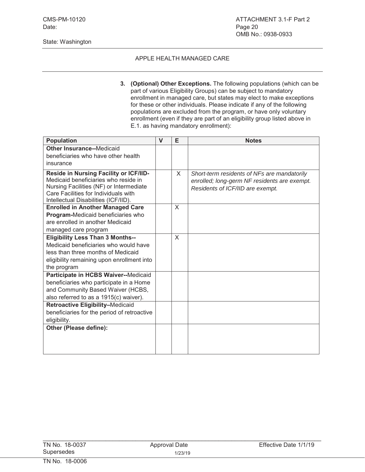#### State: Washington

#### APPLE HEALTH MANAGED CARE

**3. (Optional) Other Exceptions.** The following populations (which can be part of various Eligibility Groups) can be subject to mandatory enrollment in managed care, but states may elect to make exceptions for these or other individuals. Please indicate if any of the following populations are excluded from the program, or have only voluntary enrollment (even if they are part of an eligibility group listed above in E.1. as having mandatory enrollment):

| <b>Population</b>                                                                                                                                                                                         | $\mathbf{V}$ | E | <b>Notes</b>                                                                                                                    |
|-----------------------------------------------------------------------------------------------------------------------------------------------------------------------------------------------------------|--------------|---|---------------------------------------------------------------------------------------------------------------------------------|
| <b>Other Insurance--Medicaid</b>                                                                                                                                                                          |              |   |                                                                                                                                 |
| beneficiaries who have other health                                                                                                                                                                       |              |   |                                                                                                                                 |
| insurance                                                                                                                                                                                                 |              |   |                                                                                                                                 |
| Reside in Nursing Facility or ICF/IID-<br>Medicaid beneficiaries who reside in<br>Nursing Facilities (NF) or Intermediate<br>Care Facilities for Individuals with<br>Intellectual Disabilities (ICF/IID). |              | X | Short-term residents of NFs are mandatorily<br>enrolled; long-germ NF residents are exempt.<br>Residents of ICF/IID are exempt. |
| <b>Enrolled in Another Managed Care</b>                                                                                                                                                                   |              | X |                                                                                                                                 |
| Program-Medicaid beneficiaries who                                                                                                                                                                        |              |   |                                                                                                                                 |
| are enrolled in another Medicaid                                                                                                                                                                          |              |   |                                                                                                                                 |
| managed care program                                                                                                                                                                                      |              |   |                                                                                                                                 |
| <b>Eligibility Less Than 3 Months--</b><br>Medicaid beneficiaries who would have<br>less than three months of Medicaid<br>eligibility remaining upon enrollment into<br>the program                       |              | X |                                                                                                                                 |
| Participate in HCBS Waiver--Medicaid                                                                                                                                                                      |              |   |                                                                                                                                 |
| beneficiaries who participate in a Home                                                                                                                                                                   |              |   |                                                                                                                                 |
| and Community Based Waiver (HCBS,                                                                                                                                                                         |              |   |                                                                                                                                 |
| also referred to as a 1915(c) waiver).                                                                                                                                                                    |              |   |                                                                                                                                 |
| Retroactive Eligibility-Medicaid                                                                                                                                                                          |              |   |                                                                                                                                 |
| beneficiaries for the period of retroactive                                                                                                                                                               |              |   |                                                                                                                                 |
| eligibility.                                                                                                                                                                                              |              |   |                                                                                                                                 |
|                                                                                                                                                                                                           |              |   |                                                                                                                                 |
|                                                                                                                                                                                                           |              |   |                                                                                                                                 |
|                                                                                                                                                                                                           |              |   |                                                                                                                                 |
| Other (Please define):                                                                                                                                                                                    |              |   |                                                                                                                                 |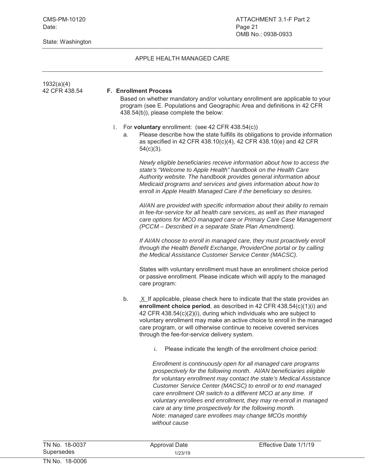State: Washington

## APPLE HEALTH MANAGED CARE

| 1932(a)(4)<br>42 CFR 438.54 |          | <b>F. Enrollment Process</b><br>Based on whether mandatory and/or voluntary enrollment are applicable to your<br>program (see E. Populations and Geographic Area and definitions in 42 CFR<br>438.54(b)), please complete the below:                                                                                                                                                                                                                                                                                                                |
|-----------------------------|----------|-----------------------------------------------------------------------------------------------------------------------------------------------------------------------------------------------------------------------------------------------------------------------------------------------------------------------------------------------------------------------------------------------------------------------------------------------------------------------------------------------------------------------------------------------------|
|                             | 1.<br>a. | For voluntary enrollment: (see 42 CFR 438.54(c))<br>Please describe how the state fulfills its obligations to provide information<br>as specified in 42 CFR 438.10(c)(4), 42 CFR 438.10(e) and 42 CFR<br>$54(c)(3)$ .                                                                                                                                                                                                                                                                                                                               |
|                             |          | Newly eligible beneficiaries receive information about how to access the<br>state's "Welcome to Apple Health" handbook on the Health Care<br>Authority website. The handbook provides general information about<br>Medicaid programs and services and gives information about how to<br>enroll in Apple Health Managed Care if the beneficiary so desires.                                                                                                                                                                                          |
|                             |          | AI/AN are provided with specific information about their ability to remain<br>in fee-for-service for all health care services, as well as their managed<br>care options for MCO managed care or Primary Care Case Management<br>(PCCM - Described in a separate State Plan Amendment).                                                                                                                                                                                                                                                              |
|                             |          | If AI/AN choose to enroll in managed care, they must proactively enroll<br>through the Health Benefit Exchange, ProviderOne portal or by calling<br>the Medical Assistance Customer Service Center (MACSC).                                                                                                                                                                                                                                                                                                                                         |
|                             |          | States with voluntary enrollment must have an enrollment choice period<br>or passive enrollment. Please indicate which will apply to the managed<br>care program:                                                                                                                                                                                                                                                                                                                                                                                   |
|                             | b.       | $X$ If applicable, please check here to indicate that the state provides an<br>enrollment choice period, as described in 42 CFR 438.54(c)(1)(i) and<br>42 CFR 438.54(c)(2)(i), during which individuals who are subject to<br>voluntary enrollment may make an active choice to enroll in the managed<br>care program, or will otherwise continue to receive covered services<br>through the fee-for-service delivery system.                                                                                                                       |
|                             |          | Please indicate the length of the enrollment choice period:<br>i.                                                                                                                                                                                                                                                                                                                                                                                                                                                                                   |
|                             |          | Enrollment is continuously open for all managed care programs<br>prospectively for the following month. Al/AN beneficiaries eligible<br>for voluntary enrollment may contact the state's Medical Assistance<br>Customer Service Center (MACSC) to enroll or to end managed<br>care enrollment OR switch to a different MCO at any time. If<br>voluntary enrollees end enrollment, they may re-enroll in managed<br>care at any time prospectively for the following month.<br>Note: managed care enrollees may change MCOs monthly<br>without cause |

| TN No. 18-0037 | Approval Date | Effective Date 1/1/19 |
|----------------|---------------|-----------------------|
| Supersedes     | 1/23/19       |                       |
| TN No. 18-0006 |               |                       |

 $\mathcal{L}_\text{max}$  , and the contribution of the contribution of the contribution of the contribution of the contribution of the contribution of the contribution of the contribution of the contribution of the contribution of t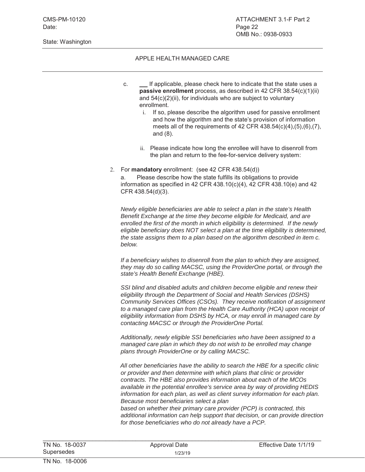State: Washington

#### APPLE HEALTH MANAGED CARE

- c. If applicable, please check here to indicate that the state uses a **passive enrollment** process, as described in 42 CFR 38.54(c)(1)(ii) and  $54(c)(2)$ (ii), for individuals who are subject to voluntary enrollment.
	- i. If so, please describe the algorithm used for passive enrollment and how the algorithm and the state's provision of information meets all of the requirements of 42 CFR 438.54(c)(4),(5),(6),(7), and (8).
	- ii. Please indicate how long the enrollee will have to disenroll from the plan and return to the fee-for-service delivery system:

#### 2. For **mandatory** enrollment: (see 42 CFR 438.54(d))

a. Please describe how the state fulfills its obligations to provide information as specified in 42 CFR 438.10(c)(4), 42 CFR 438.10(e) and 42 CFR 438.54(d)(3).

*Newly eligible beneficiaries are able to select a plan in the state's Health Benefit Exchange at the time they become eligible for Medicaid, and are enrolled the first of the month in which eligibility is determined. If the newly eligible beneficiary does NOT select a plan at the time eligibility is determined, the state assigns them to a plan based on the algorithm described in item c. below.*

*If a beneficiary wishes to disenroll from the plan to which they are assigned, they may do so calling MACSC, using the ProviderOne portal, or through the state's Health Benefit Exchange (HBE).*

*SSI blind and disabled adults and children become eligible and renew their eligibility through the Department of Social and Health Services (DSHS) Community Services Offices (CSOs). They receive notification of assignment to a managed care plan from the Health Care Authority (HCA) upon receipt of eligibility information from DSHS by HCA, or may enroll in managed care by contacting MACSC or through the ProviderOne Portal.*

*Additionally, newly eligible SSI beneficiaries who have been assigned to a managed care plan in which they do not wish to be enrolled may change plans through ProviderOne or by calling MACSC.*

*All other beneficiaries have the ability to search the HBE for a specific clinic or provider and then determine with which plans that clinic or provider contracts. The HBE also provides information about each of the MCOs available in the potential enrollee's service area by way of providing HEDIS information for each plan, as well as client survey information for each plan. Because most beneficiaries select a plan*

*based on whether their primary care provider (PCP) is contracted, this additional information can help support that decision, or can provide direction for those beneficiaries who do not already have a PCP.*

| TN No. 18-0037 | Approval Date | Effective Date 1/1/19 |
|----------------|---------------|-----------------------|
| Supersedes     | 1/23/19       |                       |
| TN No. 18-0006 |               |                       |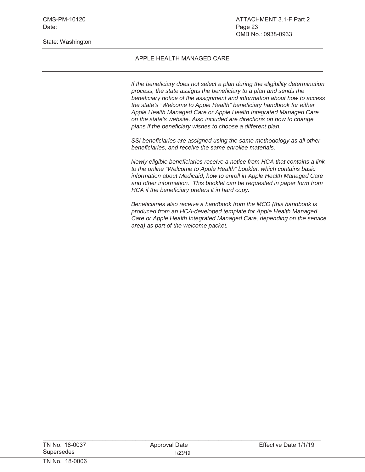State: Washington

#### APPLE HEALTH MANAGED CARE

*If the beneficiary does not select a plan during the eligibility determination process, the state assigns the beneficiary to a plan and sends the beneficiary notice of the assignment and information about how to access the state's "Welcome to Apple Health" beneficiary handbook for either Apple Health Managed Care or Apple Health Integrated Managed Care on the state's website. Also included are directions on how to change plans if the beneficiary wishes to choose a different plan.* 

*SSI beneficiaries are assigned using the same methodology as all other beneficiaries, and receive the same enrollee materials.*

*Newly eligible beneficiaries receive a notice from HCA that contains a link to the online "Welcome to Apple Health" booklet, which contains basic information about Medicaid, how to enroll in Apple Health Managed Care and other information. This booklet can be requested in paper form from HCA if the beneficiary prefers it in hard copy.*

*Beneficiaries also receive a handbook from the MCO (this handbook is produced from an HCA-developed template for Apple Health Managed Care or Apple Health Integrated Managed Care, depending on the service area) as part of the welcome packet.* 

| TN No. 18-0037 | Approval Date | Effective Date 1/1/19 |
|----------------|---------------|-----------------------|
| Supersedes     | 1/23/19       |                       |
| TN No. 18-0006 |               |                       |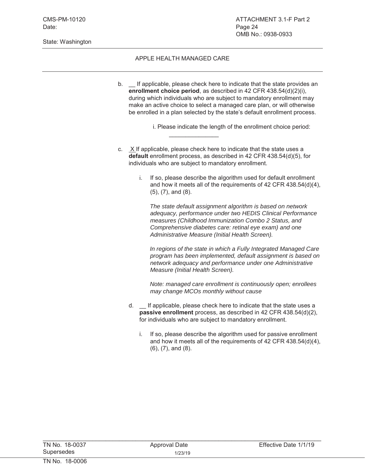State: Washington

#### APPLE HEALTH MANAGED CARE

b. If applicable, please check here to indicate that the state provides an **enrollment choice period**, as described in 42 CFR 438.54(d)(2)(i), during which individuals who are subject to mandatory enrollment may make an active choice to select a managed care plan, or will otherwise be enrolled in a plan selected by the state's default enrollment process.

i. Please indicate the length of the enrollment choice period:

c. X If applicable, please check here to indicate that the state uses a **default** enrollment process, as described in 42 CFR 438.54(d)(5), for individuals who are subject to mandatory enrollment.

 $\mathcal{L}=\mathcal{L}^{\mathcal{L}}$ 

i. If so, please describe the algorithm used for default enrollment and how it meets all of the requirements of 42 CFR 438.54(d)(4), (5), (7), and (8).

*The state default assignment algorithm is based on network adequacy, performance under two HEDIS Clinical Performance measures (Childhood Immunization Combo 2 Status, and Comprehensive diabetes care: retinal eye exam) and one Administrative Measure (Initial Health Screen).*

*In regions of the state in which a Fully Integrated Managed Care program has been implemented, default assignment is based on network adequacy and performance under one Administrative Measure (Initial Health Screen).*

*Note: managed care enrollment is continuously open; enrollees may change MCOs monthly without cause*

- d. \_\_ If applicable, please check here to indicate that the state uses a **passive enrollment** process, as described in 42 CFR 438.54(d)(2), for individuals who are subject to mandatory enrollment.
	- i. If so, please describe the algorithm used for passive enrollment and how it meets all of the requirements of 42 CFR 438.54(d)(4), (6), (7), and (8).

| TN No. 18-0037 | Approval Date | Effective Date 1/1/19 |
|----------------|---------------|-----------------------|
| Supersedes     | 1/23/19       |                       |
| TN No. 18-0006 |               |                       |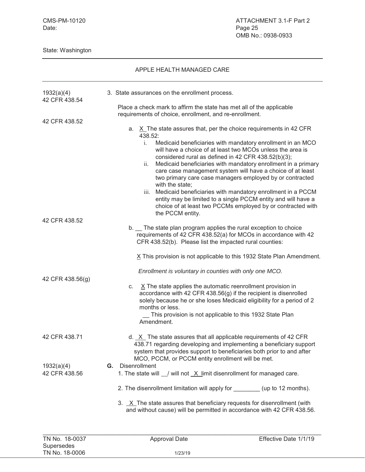State: Washington

| 1932(a)(4)<br>42 CFR 438.54 | 3. State assurances on the enrollment process.                                                                                                                                                                                                                                                                |                                                                                                                                                                                                                                                                                                                     |
|-----------------------------|---------------------------------------------------------------------------------------------------------------------------------------------------------------------------------------------------------------------------------------------------------------------------------------------------------------|---------------------------------------------------------------------------------------------------------------------------------------------------------------------------------------------------------------------------------------------------------------------------------------------------------------------|
|                             | Place a check mark to affirm the state has met all of the applicable                                                                                                                                                                                                                                          |                                                                                                                                                                                                                                                                                                                     |
| 42 CFR 438.52               | requirements of choice, enrollment, and re-enrollment.                                                                                                                                                                                                                                                        |                                                                                                                                                                                                                                                                                                                     |
|                             | a. X The state assures that, per the choice requirements in 42 CFR<br>438.52:                                                                                                                                                                                                                                 |                                                                                                                                                                                                                                                                                                                     |
|                             | $\mathbf{i}$ .<br>considered rural as defined in 42 CFR 438.52(b)(3);<br>ii.<br>with the state;                                                                                                                                                                                                               | Medicaid beneficiaries with mandatory enrollment in an MCO<br>will have a choice of at least two MCOs unless the area is<br>Medicaid beneficiaries with mandatory enrollment in a primary<br>care case management system will have a choice of at least<br>two primary care case managers employed by or contracted |
|                             | iii.                                                                                                                                                                                                                                                                                                          | Medicaid beneficiaries with mandatory enrollment in a PCCM<br>entity may be limited to a single PCCM entity and will have a<br>choice of at least two PCCMs employed by or contracted with                                                                                                                          |
| 42 CFR 438.52               | the PCCM entity.                                                                                                                                                                                                                                                                                              |                                                                                                                                                                                                                                                                                                                     |
|                             | b. The state plan program applies the rural exception to choice<br>requirements of 42 CFR 438.52(a) for MCOs in accordance with 42<br>CFR 438.52(b). Please list the impacted rural counties:                                                                                                                 |                                                                                                                                                                                                                                                                                                                     |
|                             | X This provision is not applicable to this 1932 State Plan Amendment.                                                                                                                                                                                                                                         |                                                                                                                                                                                                                                                                                                                     |
|                             | Enrollment is voluntary in counties with only one MCO.                                                                                                                                                                                                                                                        |                                                                                                                                                                                                                                                                                                                     |
| 42 CFR 438.56(g)            | $X$ The state applies the automatic reenrollment provision in<br>C.<br>accordance with 42 CFR 438.56(g) if the recipient is disenrolled<br>solely because he or she loses Medicaid eligibility for a period of 2<br>months or less.<br>This provision is not applicable to this 1932 State Plan<br>Amendment. |                                                                                                                                                                                                                                                                                                                     |
| 42 CFR 438.71               | d. $X$ The state assures that all applicable requirements of 42 CFR<br>438.71 regarding developing and implementing a beneficiary support<br>system that provides support to beneficiaries both prior to and after<br>MCO, PCCM, or PCCM entity enrollment will be met.                                       |                                                                                                                                                                                                                                                                                                                     |
| 1932(a)(4)<br>42 CFR 438.56 | Disenrollment<br>G.<br>1. The state will $\angle$ will not $\angle X$ limit disenrollment for managed care.                                                                                                                                                                                                   |                                                                                                                                                                                                                                                                                                                     |
|                             | 2. The disenrollment limitation will apply for __________ (up to 12 months).                                                                                                                                                                                                                                  |                                                                                                                                                                                                                                                                                                                     |
|                             | 3. X The state assures that beneficiary requests for disenrollment (with<br>and without cause) will be permitted in accordance with 42 CFR 438.56.                                                                                                                                                            |                                                                                                                                                                                                                                                                                                                     |
| TN No. 18-0037              | <b>Approval Date</b>                                                                                                                                                                                                                                                                                          | Effective Date 1/1/19                                                                                                                                                                                                                                                                                               |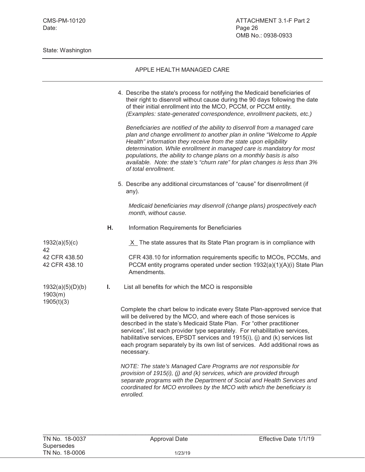|                                           |    | 4. Describe the state's process for notifying the Medicaid beneficiaries of<br>their right to disenroll without cause during the 90 days following the date<br>of their initial enrollment into the MCO, PCCM, or PCCM entity.<br>(Examples: state-generated correspondence, enrollment packets, etc.)                                                                                                                                                                         |
|-------------------------------------------|----|--------------------------------------------------------------------------------------------------------------------------------------------------------------------------------------------------------------------------------------------------------------------------------------------------------------------------------------------------------------------------------------------------------------------------------------------------------------------------------|
|                                           |    | Beneficiaries are notified of the ability to disenroll from a managed care<br>plan and change enrollment to another plan in online "Welcome to Apple<br>Health" information they receive from the state upon eligibility<br>determination. While enrollment in managed care is mandatory for most<br>populations, the ability to change plans on a monthly basis is also<br>available. Note: the state's "churn rate" for plan changes is less than 3%<br>of total enrollment. |
|                                           |    | 5. Describe any additional circumstances of "cause" for disenrollment (if<br>any).                                                                                                                                                                                                                                                                                                                                                                                             |
|                                           |    | Medicaid beneficiaries may disenroll (change plans) prospectively each<br>month, without cause.                                                                                                                                                                                                                                                                                                                                                                                |
|                                           | Η. | Information Requirements for Beneficiaries                                                                                                                                                                                                                                                                                                                                                                                                                                     |
| 1932(a)(5)(c)<br>42                       |    | $X$ The state assures that its State Plan program is in compliance with                                                                                                                                                                                                                                                                                                                                                                                                        |
| 42 CFR 438.50<br>42 CFR 438.10            |    | CFR 438.10 for information requirements specific to MCOs, PCCMs, and<br>PCCM entity programs operated under section 1932(a)(1)(A)(i) State Plan<br>Amendments.                                                                                                                                                                                                                                                                                                                 |
| 1932(a)(5)(D)(b)<br>1903(m)<br>1905(t)(3) | I. | List all benefits for which the MCO is responsible                                                                                                                                                                                                                                                                                                                                                                                                                             |
|                                           |    | Complete the chart below to indicate every State Plan-approved service that<br>will be delivered by the MCO, and where each of those services is<br>described in the state's Medicaid State Plan. For "other practitioner<br>services", list each provider type separately. For rehabilitative services,<br>habilitative services EPSDT services and 1915(i) (i) and (k) services list                                                                                         |

habilitative services, EPSDT services and 1915(i), (j) and (k) services list each program separately by its own list of services. Add additional rows as necessary. *NOTE: The state's Managed Care Programs are not responsible for* 

*provision of 1915(i), (j) and (k) services, which are provided through separate programs with the Department of Social and Health Services and coordinated for MCO enrollees by the MCO with which the beneficiary is enrolled.*

 $\mathcal{L}_\text{max}$  , and the contribution of the contribution of the contribution of the contribution of the contribution of the contribution of the contribution of the contribution of the contribution of the contribution of t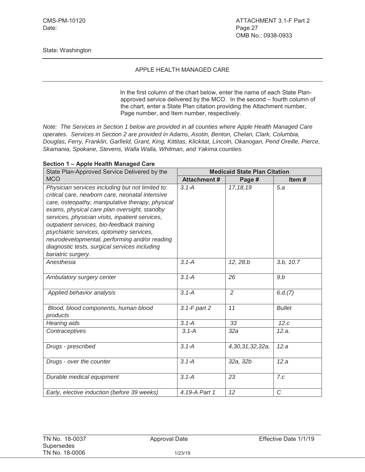#### APPLE HEALTH MANAGED CARE

In the first column of the chart below, enter the name of each State Planapproved service delivered by the MCO. In the second – fourth column of the chart, enter a State Plan citation providing the Attachment number, Page number, and Item number, respectively.

*Note: The Services in Section 1 below are provided in all counties where Apple Health Managed Care operates. Services in Section 2 are provided in Adams, Asotin, Benton, Chelan, Clark, Columbia, Douglas, Ferry, Franklin, Garfield, Grant, King, Kittitas, Klickitat, Lincoln, Okanogan, Pend Oreille, Pierce, Skamania, Spokane, Stevens, Walla Walla, Whitman, and Yakima counties.*

| State Plan-Approved Service Delivered by the                                                                                                                                                                                                                                                                                                                                                                                                                                  | <b>Medicaid State Plan Citation</b> |                 |               |  |
|-------------------------------------------------------------------------------------------------------------------------------------------------------------------------------------------------------------------------------------------------------------------------------------------------------------------------------------------------------------------------------------------------------------------------------------------------------------------------------|-------------------------------------|-----------------|---------------|--|
| <b>MCO</b>                                                                                                                                                                                                                                                                                                                                                                                                                                                                    | <b>Attachment#</b>                  | Page #          | Item#         |  |
| Physician services including but not limited to:<br>critical care, newborn care, neonatal intensive<br>care, osteopathy, manipulative therapy, physical<br>exams, physical care plan oversight, standby<br>services, physician visits, inpatient services,<br>outpatient services, bio-feedback training<br>psychiatric services, optometry services,<br>neurodevelopmental, performing and/or reading<br>diagnostic tests, surgical services including<br>bariatric surgery. | $3.1 - A$                           | 17, 18, 19      | 5.a           |  |
| Anesthesia                                                                                                                                                                                                                                                                                                                                                                                                                                                                    | $3.1 - A$                           | 12, 28.b        | 3.b, 10.7     |  |
| Ambulatory surgery center                                                                                                                                                                                                                                                                                                                                                                                                                                                     | $3.1 - A$                           | 26              | 9.b           |  |
| Applied behavior analysis                                                                                                                                                                                                                                                                                                                                                                                                                                                     | $3.1 - A$                           | $\overline{2}$  | 6.d.(7)       |  |
| Blood, blood components, human blood<br>products                                                                                                                                                                                                                                                                                                                                                                                                                              | $3.1-F$ part $2$                    | 11              | <b>Bullet</b> |  |
| Hearing aids                                                                                                                                                                                                                                                                                                                                                                                                                                                                  | $3.1 - A$                           | 33              | 12.c          |  |
| Contraceptives                                                                                                                                                                                                                                                                                                                                                                                                                                                                | $3.1 - A$                           | 32a             | 12.a.         |  |
| Drugs - prescribed                                                                                                                                                                                                                                                                                                                                                                                                                                                            | $3.1 - A$                           | 4,30,31,32,32a, | 12.a          |  |
| Drugs - over the counter                                                                                                                                                                                                                                                                                                                                                                                                                                                      | $3.1 - A$                           | 32a, 32b        | 12.a          |  |
| Durable medical equipment                                                                                                                                                                                                                                                                                                                                                                                                                                                     | $3.1 - A$                           | 23              | 7.c           |  |
| Early, elective induction (before 39 weeks)                                                                                                                                                                                                                                                                                                                                                                                                                                   | 4.19-A Part 1                       | 12              | $\mathcal{C}$ |  |

#### **Section 1 – Apple Health Managed Care**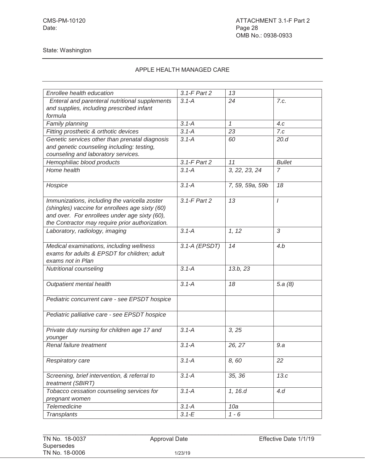| Enrollee health education                       | 3.1-F Part 2  | 13              |                |
|-------------------------------------------------|---------------|-----------------|----------------|
| Enteral and parenteral nutritional supplements  | $3.1 - A$     | 24              | 7.c.           |
| and supplies, including prescribed infant       |               |                 |                |
| formula                                         |               |                 |                |
| Family planning                                 | $3.1 - A$     | $\mathcal I$    | 4.c            |
| Fitting prosthetic & orthotic devices           | $3.1 - A$     | 23              | 7.c            |
| Genetic services other than prenatal diagnosis  | $3.1 - A$     | 60              | 20.d           |
| and genetic counseling including: testing,      |               |                 |                |
| counseling and laboratory services.             |               |                 |                |
| Hemophiliac blood products                      | 3.1-F Part 2  | 11              | <b>Bullet</b>  |
| Home health                                     | $3.1 - A$     | 3, 22, 23, 24   | $\overline{7}$ |
|                                                 |               |                 |                |
| Hospice                                         | $3.1 - A$     | 7, 59, 59a, 59b | 18             |
|                                                 |               |                 |                |
| Immunizations, including the varicella zoster   | 3.1-F Part 2  | 13              | $\prime$       |
| (shingles) vaccine for enrollees age sixty (60) |               |                 |                |
| and over. For enrollees under age sixty (60),   |               |                 |                |
| the Contractor may require prior authorization. |               |                 |                |
| Laboratory, radiology, imaging                  | $3.1 - A$     | 1, 12           | 3              |
|                                                 |               |                 |                |
| Medical examinations, including wellness        | 3.1-A (EPSDT) | 14              | 4.b            |
| exams for adults & EPSDT for children; adult    |               |                 |                |
| exams not in Plan                               |               |                 |                |
| Nutritional counseling                          | $3.1 - A$     | 13.b, 23        |                |
|                                                 |               |                 |                |
| Outpatient mental health                        | $3.1 - A$     | 18              | 5.a $(8)$      |
|                                                 |               |                 |                |
| Pediatric concurrent care - see EPSDT hospice   |               |                 |                |
|                                                 |               |                 |                |
| Pediatric palliative care - see EPSDT hospice   |               |                 |                |
| Private duty nursing for children age 17 and    | $3.1 - A$     | 3, 25           |                |
| younger                                         |               |                 |                |
| Renal failure treatment                         | $3.1 - A$     | 26, 27          | 9.a            |
|                                                 |               |                 |                |
| Respiratory care                                | $3.1 - A$     | 8,60            | 22             |
|                                                 |               |                 |                |
| Screening, brief intervention, & referral to    | $3.1 - A$     | 35, 36          | 13.c           |
| treatment (SBIRT)                               |               |                 |                |
| Tobacco cessation counseling services for       | $3.1 - A$     | 1, 16.d         | 4.d            |
| pregnant women                                  |               |                 |                |
| <b>Telemedicine</b>                             | $3.1 - A$     | 10a             |                |
| Transplants                                     | $3.1 - E$     | $1 - 6$         |                |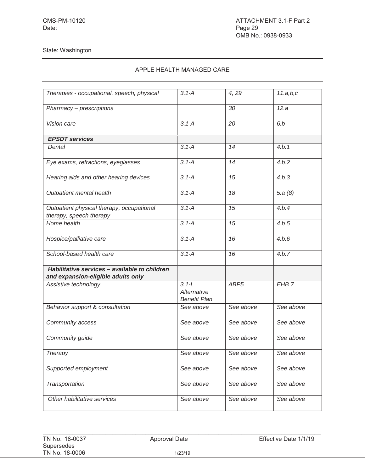| Therapies - occupational, speech, physical                                          | $3.1 - A$                                       | 4,29             | 11.a,b,c         |
|-------------------------------------------------------------------------------------|-------------------------------------------------|------------------|------------------|
|                                                                                     |                                                 |                  |                  |
| Pharmacy - prescriptions                                                            |                                                 | 30               | 12.a             |
| Vision care                                                                         | $3.1 - A$                                       | 20               | 6.b              |
| <b>EPSDT</b> services                                                               |                                                 |                  |                  |
| Dental                                                                              | $3.1 - A$                                       | 14               | 4.b.1            |
| Eye exams, refractions, eyeglasses                                                  | $3.1 - A$                                       | 14               | 4.b.2            |
| Hearing aids and other hearing devices                                              | $3.1 - A$                                       | 15               | 4.b.3            |
| Outpatient mental health                                                            | $3.1 - A$                                       | 18               | 5.a(8)           |
| Outpatient physical therapy, occupational<br>therapy, speech therapy                | $3.1 - A$                                       | 15               | 4.b.4            |
| Home health                                                                         | $3.1 - A$                                       | 15               | 4.b.5            |
| Hospice/palliative care                                                             | $3.1 - A$                                       | 16               | 4.b.6            |
| School-based health care                                                            | $3.1 - A$                                       | 16               | 4.b.7            |
| Habilitative services - available to children<br>and expansion-eligible adults only |                                                 |                  |                  |
| Assistive technology                                                                | $3.1 - L$<br>Alternative<br><b>Benefit Plan</b> | ABP <sub>5</sub> | EHB <sub>7</sub> |
| Behavior support & consultation                                                     | See above                                       | See above        | See above        |
| Community access                                                                    | See above                                       | See above        | See above        |
| Community guide                                                                     | See above                                       | See above        | See above        |
| Therapy                                                                             | See above                                       | See above        | See above        |
| Supported employment                                                                | See above                                       | See above        | See above        |
| Transportation                                                                      | See above                                       | See above        | See above        |
| Other habilitative services                                                         | See above                                       | See above        | See above        |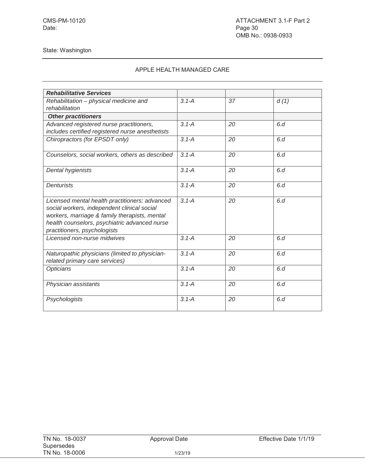| <b>Rehabilitative Services</b>                                                                                                                                                                                                  |           |    |      |
|---------------------------------------------------------------------------------------------------------------------------------------------------------------------------------------------------------------------------------|-----------|----|------|
| Rehabilitation - physical medicine and<br>rehabilitation                                                                                                                                                                        | $3.1 - A$ | 37 | d(1) |
| <b>Other practitioners</b>                                                                                                                                                                                                      |           |    |      |
| Advanced registered nurse practitioners,<br>includes certified registered nurse anesthetists                                                                                                                                    | $3.1 - A$ | 20 | 6d   |
| Chiropractors (for EPSDT only)                                                                                                                                                                                                  | $3.1 - A$ | 20 | 6d   |
| Counselors, social workers, others as described                                                                                                                                                                                 | $3.1 - A$ | 20 | 6d   |
| Dental hygienists                                                                                                                                                                                                               | $3.1 - A$ | 20 | 6d   |
| Denturists                                                                                                                                                                                                                      | $3.1 - A$ | 20 | 6.d  |
| Licensed mental health practitioners: advanced<br>social workers, independent clinical social<br>workers, marriage & family therapists, mental<br>health counselors, psychiatric advanced nurse<br>practitioners, psychologists | $3.1 - A$ | 20 | 6d   |
| Licensed non-nurse midwives                                                                                                                                                                                                     | $3.1 - A$ | 20 | 6.d  |
| Naturopathic physicians (limited to physician-<br>related primary care services)                                                                                                                                                | $3.1 - A$ | 20 | 6d   |
| Opticians                                                                                                                                                                                                                       | $3.1 - A$ | 20 | 6.d  |
| Physician assistants                                                                                                                                                                                                            | $3.1 - A$ | 20 | 6d   |
| Psychologists                                                                                                                                                                                                                   | $3.1 - A$ | 20 | 6d   |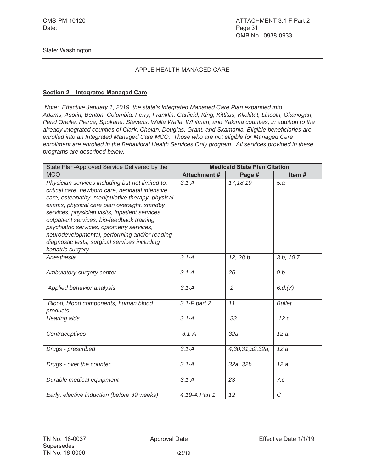#### APPLE HEALTH MANAGED CARE

#### **Section 2 – Integrated Managed Care**

*Note: Effective January 1, 2019, the state's Integrated Managed Care Plan expanded into Adams, Asotin, Benton, Columbia, Ferry, Franklin, Garfield, King, Kittitas, Klickitat, Lincoln, Okanogan, Pend Oreille, Pierce, Spokane, Stevens, Walla Walla, Whitman, and Yakima counties, in addition to the already integrated counties of Clark, Chelan, Douglas, Grant, and Skamania. Eligible beneficiaries are enrolled into an Integrated Managed Care MCO. Those who are not eligible for Managed Care enrollment are enrolled in the Behavioral Health Services Only program. All services provided in these programs are described below.*

| State Plan-Approved Service Delivered by the                                                                                                                                                                                                                                                                                                                                                                                                                                  | <b>Medicaid State Plan Citation</b> |                 |               |  |
|-------------------------------------------------------------------------------------------------------------------------------------------------------------------------------------------------------------------------------------------------------------------------------------------------------------------------------------------------------------------------------------------------------------------------------------------------------------------------------|-------------------------------------|-----------------|---------------|--|
| <b>MCO</b>                                                                                                                                                                                                                                                                                                                                                                                                                                                                    | <b>Attachment#</b>                  | Page #          | Item#         |  |
| Physician services including but not limited to:<br>critical care, newborn care, neonatal intensive<br>care, osteopathy, manipulative therapy, physical<br>exams, physical care plan oversight, standby<br>services, physician visits, inpatient services,<br>outpatient services, bio-feedback training<br>psychiatric services, optometry services,<br>neurodevelopmental, performing and/or reading<br>diagnostic tests, surgical services including<br>bariatric surgery. | $3.1 - A$                           | 17, 18, 19      | 5.a           |  |
| Anesthesia                                                                                                                                                                                                                                                                                                                                                                                                                                                                    | $3.1 - A$                           | 12, 28.b        | 3.b, 10.7     |  |
| Ambulatory surgery center                                                                                                                                                                                                                                                                                                                                                                                                                                                     | $3.1 - A$                           | 26              | 9.b           |  |
| Applied behavior analysis                                                                                                                                                                                                                                                                                                                                                                                                                                                     | $3.1 - A$                           | 2               | 6.d.(7)       |  |
| Blood, blood components, human blood<br>products                                                                                                                                                                                                                                                                                                                                                                                                                              | $3.1 - F$ part $2$                  | 11              | <b>Bullet</b> |  |
| Hearing aids                                                                                                                                                                                                                                                                                                                                                                                                                                                                  | $3.1 - A$                           | 33              | 12.c          |  |
| Contraceptives                                                                                                                                                                                                                                                                                                                                                                                                                                                                | $3.1 - A$                           | 32a             | 12.a.         |  |
| Drugs - prescribed                                                                                                                                                                                                                                                                                                                                                                                                                                                            | $3.1 - A$                           | 4,30,31,32,32a, | 12.a          |  |
| Drugs - over the counter                                                                                                                                                                                                                                                                                                                                                                                                                                                      | $3.1 - A$                           | 32a, 32b        | 12.a          |  |
| Durable medical equipment                                                                                                                                                                                                                                                                                                                                                                                                                                                     | $3.1 - A$                           | 23              | 7.c           |  |
| Early, elective induction (before 39 weeks)                                                                                                                                                                                                                                                                                                                                                                                                                                   | 4.19-A Part 1                       | 12              | C             |  |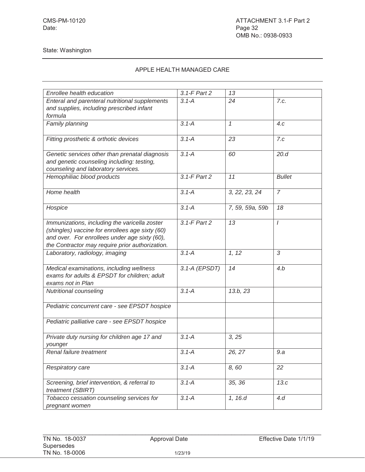| Enrollee health education                                                                                                                                                                            | 3.1-F Part 2  | 13              |                |
|------------------------------------------------------------------------------------------------------------------------------------------------------------------------------------------------------|---------------|-----------------|----------------|
| Enteral and parenteral nutritional supplements<br>and supplies, including prescribed infant<br>formula                                                                                               | $3.1 - A$     | 24              | 7.c.           |
| Family planning                                                                                                                                                                                      | $3.1 - A$     | $\mathcal I$    | 4.c            |
| Fitting prosthetic & orthotic devices                                                                                                                                                                | $3.1 - A$     | 23              | 7.c            |
| Genetic services other than prenatal diagnosis<br>and genetic counseling including: testing,<br>counseling and laboratory services.                                                                  | $3.1 - A$     | 60              | 20.d           |
| Hemophiliac blood products                                                                                                                                                                           | 3.1-F Part 2  | 11              | <b>Bullet</b>  |
| Home health                                                                                                                                                                                          | $3.1 - A$     | 3, 22, 23, 24   | $\overline{7}$ |
| Hospice                                                                                                                                                                                              | $3.1 - A$     | 7, 59, 59a, 59b | 18             |
| Immunizations, including the varicella zoster<br>(shingles) vaccine for enrollees age sixty (60)<br>and over. For enrollees under age sixty (60),<br>the Contractor may require prior authorization. | 3.1-F Part 2  | 13              | $\prime$       |
| Laboratory, radiology, imaging                                                                                                                                                                       | $3.1 - A$     | 1, 12           | 3              |
| Medical examinations, including wellness<br>exams for adults & EPSDT for children; adult<br>exams not in Plan                                                                                        | 3.1-A (EPSDT) | 14              | 4.b            |
| Nutritional counseling                                                                                                                                                                               | $3.1 - A$     | 13.b, 23        |                |
| Pediatric concurrent care - see EPSDT hospice                                                                                                                                                        |               |                 |                |
| Pediatric palliative care - see EPSDT hospice                                                                                                                                                        |               |                 |                |
| Private duty nursing for children age 17 and<br>younger                                                                                                                                              | $3.1 - A$     | 3, 25           |                |
| Renal failure treatment                                                                                                                                                                              | $3.1 - A$     | 26, 27          | 9.a            |
| Respiratory care                                                                                                                                                                                     | $3.1 - A$     | 8,60            | 22             |
| Screening, brief intervention, & referral to<br>treatment (SBIRT)                                                                                                                                    | $3.1 - A$     | 35, 36          | 13.c           |
| Tobacco cessation counseling services for<br>pregnant women                                                                                                                                          | $3.1 - A$     | 1, 16.d         | 4d             |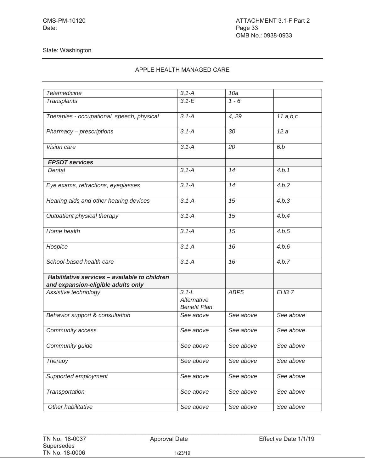## APPLE HEALTH MANAGED CARE

| <b>Telemedicine</b>                                                                 | $3.1 - A$                                       | 10a              |                  |
|-------------------------------------------------------------------------------------|-------------------------------------------------|------------------|------------------|
| Transplants                                                                         | $3.1 - E$                                       | $1 - 6$          |                  |
| Therapies - occupational, speech, physical                                          | $3.1 - A$                                       | 4, 29            | 11.a,b,c         |
| Pharmacy - prescriptions                                                            | $3.1 - A$                                       | 30               | 12.a             |
| Vision care                                                                         | $3.1 - A$                                       | 20               | 6.b              |
| <b>EPSDT</b> services                                                               |                                                 |                  |                  |
| Dental                                                                              | $3.1 - A$                                       | 14               | 4.b.1            |
| Eye exams, refractions, eyeglasses                                                  | $3.1 - A$                                       | 14               | 4.b.2            |
| Hearing aids and other hearing devices                                              | $3.1 - A$                                       | 15               | 4.b.3            |
| Outpatient physical therapy                                                         | $3.1 - A$                                       | 15               | 4.b.4            |
| Home health                                                                         | $3.1 - A$                                       | 15               | 4.b.5            |
| Hospice                                                                             | $3.1 - A$                                       | 16               | 4.b.6            |
| School-based health care                                                            | $3.1 - A$                                       | 16               | 4.b.7            |
| Habilitative services - available to children<br>and expansion-eligible adults only |                                                 |                  |                  |
| Assistive technology                                                                | $3.1 - L$<br>Alternative<br><b>Benefit Plan</b> | ABP <sub>5</sub> | EHB <sub>7</sub> |
| Behavior support & consultation                                                     | See above                                       | See above        | See above        |
| Community access                                                                    | See above                                       | See above        | See above        |
| Community guide                                                                     | See above                                       | See above        | See above        |
| <b>Therapy</b>                                                                      | See above                                       | See above        | See above        |
| Supported employment                                                                | See above                                       | See above        | See above        |
| Transportation                                                                      | See above                                       | See above        | See above        |
| Other habilitative                                                                  | See above                                       | See above        | See above        |

 $\mathcal{L}_\text{max}$  , and the contribution of the contribution of the contribution of the contribution of the contribution of the contribution of the contribution of the contribution of the contribution of the contribution of t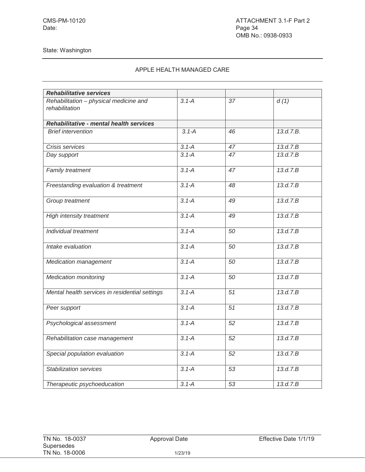| <b>Rehabilitative services</b>                           |           |                 |           |
|----------------------------------------------------------|-----------|-----------------|-----------|
| Rehabilitation - physical medicine and<br>rehabilitation | $3.1 - A$ | 37              | d(1)      |
| Rehabilitative - mental health services                  |           |                 |           |
| <b>Brief intervention</b>                                | $3.1 - A$ | 46              | 13.d.7.B. |
| Crisis services                                          | $3.1 - A$ | 47              | 13.d.7.B  |
| Day support                                              | $3.1 - A$ | 47              | 13.d.7.B  |
| Family treatment                                         | $3.1 - A$ | 47              | 13.d.7.B  |
| Freestanding evaluation & treatment                      | $3.1 - A$ | 48              | 13.d.7.B  |
| Group treatment                                          | $3.1 - A$ | 49              | 13.d.7.B  |
| High intensity treatment                                 | $3.1 - A$ | 49              | 13.d.7.B  |
| Individual treatment                                     | $3.1 - A$ | 50              | 13.d.7.B  |
| Intake evaluation                                        | $3.1 - A$ | 50              | 13.d.7.B  |
| Medication management                                    | $3.1 - A$ | 50              | 13.d.7.B  |
| <b>Medication monitoring</b>                             | $3.1 - A$ | 50              | 13.d.7.B  |
| Mental health services in residential settings           | $3.1 - A$ | 51              | 13.d.7.B  |
| Peer support                                             | $3.1 - A$ | $\overline{51}$ | 13.d.7.B  |
| Psychological assessment                                 | $3.1 - A$ | 52              | 13.d.7.B  |
| Rehabilitation case management                           | $3.1 - A$ | 52              | 13.d.7.B  |
| Special population evaluation                            | $3.1 - A$ | 52              | 13.d.7.B  |
| <b>Stabilization services</b>                            | $3.1 - A$ | 53              | 13.d.7.B  |
| Therapeutic psychoeducation                              | $3.1 - A$ | 53              | 13.d.7.B  |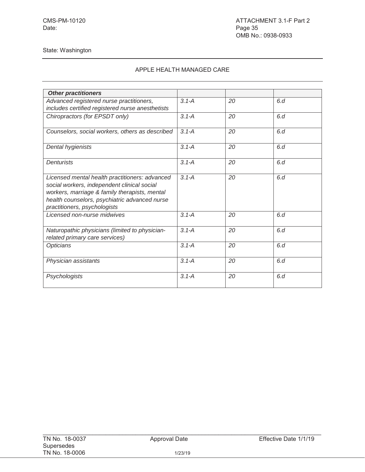| <b>Other practitioners</b>                                                                                                                                                                                                      |           |    |     |
|---------------------------------------------------------------------------------------------------------------------------------------------------------------------------------------------------------------------------------|-----------|----|-----|
| Advanced registered nurse practitioners,<br>includes certified registered nurse anesthetists                                                                                                                                    | $3.1 - A$ | 20 | 6d  |
| Chiropractors (for EPSDT only)                                                                                                                                                                                                  | $3.1 - A$ | 20 | 6.d |
| Counselors, social workers, others as described                                                                                                                                                                                 | $3.1 - A$ | 20 | 6d  |
| Dental hygienists                                                                                                                                                                                                               | $3.1 - A$ | 20 | 6d  |
| Denturists                                                                                                                                                                                                                      | $3.1 - A$ | 20 | 6d  |
| Licensed mental health practitioners: advanced<br>social workers, independent clinical social<br>workers, marriage & family therapists, mental<br>health counselors, psychiatric advanced nurse<br>practitioners, psychologists | $3.1 - A$ | 20 | 6.d |
| Licensed non-nurse midwives                                                                                                                                                                                                     | $3.1 - A$ | 20 | 6d  |
| Naturopathic physicians (limited to physician-<br>related primary care services)                                                                                                                                                | $3.1 - A$ | 20 | 6d  |
| Opticians                                                                                                                                                                                                                       | $3.1 - A$ | 20 | 6.d |
| Physician assistants                                                                                                                                                                                                            | $3.1 - A$ | 20 | 6d  |
| Psychologists                                                                                                                                                                                                                   | $3.1 - A$ | 20 | 6d  |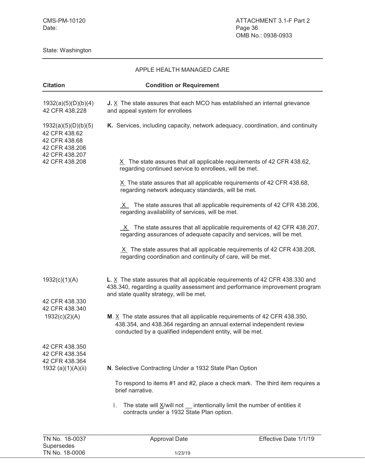#### APPLE HEALTH MANAGED CARE

| <b>Citation</b>                                                         | <b>Condition or Requirement</b>                                                                                                                                                                                   |
|-------------------------------------------------------------------------|-------------------------------------------------------------------------------------------------------------------------------------------------------------------------------------------------------------------|
| 1932(a)(5)(D)(b)(4)<br>42 CFR 438.228                                   | J. $X$ The state assures that each MCO has established an internal grievance<br>and appeal system for enrollees                                                                                                   |
| 1932(a)(5)(D)(b)(5)<br>42 CFR 438.62<br>42 CFR 438.68<br>42 CFR 438.206 | K. Services, including capacity, network adequacy, coordination, and continuity                                                                                                                                   |
| 42 CFR 438.207<br>42 CFR 438.208                                        | $X$ The state assures that all applicable requirements of 42 CFR 438.62,<br>regarding continued service to enrollees, will be met.                                                                                |
|                                                                         | X The state assures that all applicable requirements of 42 CFR 438.68,<br>regarding network adequacy standards, will be met.                                                                                      |
|                                                                         | X The state assures that all applicable requirements of 42 CFR 438.206,<br>regarding availability of services, will be met.                                                                                       |
|                                                                         | $X$ The state assures that all applicable requirements of 42 CFR 438.207,<br>regarding assurances of adequate capacity and services, will be met.                                                                 |
|                                                                         | $X$ The state assures that all applicable requirements of 42 CFR 438.208,<br>regarding coordination and continuity of care, will be met.                                                                          |
| 1932(c)(1)(A)                                                           | L. X The state assures that all applicable requirements of 42 CFR 438.330 and<br>438.340, regarding a quality assessment and performance improvement program<br>and state quality strategy, will be met.          |
| 42 CFR 438.330<br>42 CFR 438.340                                        |                                                                                                                                                                                                                   |
| 1932(c)(2)(A)                                                           | M. $X$ The state assures that all applicable requirements of 42 CFR 438.350,<br>438.354, and 438.364 regarding an annual external independent review<br>conducted by a qualified independent entity, will be met. |
| 42 CFR 438.350<br>42 CFR 438.354                                        |                                                                                                                                                                                                                   |
| 42 CFR 438.364<br>1932 (a)(1)(A)(ii)                                    | N. Selective Contracting Under a 1932 State Plan Option                                                                                                                                                           |
|                                                                         | To respond to items #1 and #2, place a check mark. The third item requires a<br>brief narrative.                                                                                                                  |
|                                                                         | The state will $\underline{X}/\text{will}$ not $\underline{\hspace{1cm}}$ intentionally limit the number of entities it<br>1.<br>contracts under a 1932 State Plan option.                                        |
|                                                                         |                                                                                                                                                                                                                   |
| TN No. 18-0037<br>Supersedes                                            | Effective Date 1/1/19<br><b>Approval Date</b>                                                                                                                                                                     |

TN No. 18-0006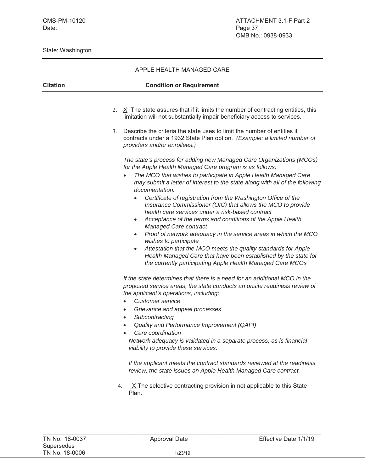|                 | APPLE HEALTH MANAGED CARE                                                                                                                                                                                                                                                                                                                                                                                                                                                                                                                                                                                                                                                                                                                                                                                                                                                                                                                                                                                                                                                                                                                                                                                                                                                     |
|-----------------|-------------------------------------------------------------------------------------------------------------------------------------------------------------------------------------------------------------------------------------------------------------------------------------------------------------------------------------------------------------------------------------------------------------------------------------------------------------------------------------------------------------------------------------------------------------------------------------------------------------------------------------------------------------------------------------------------------------------------------------------------------------------------------------------------------------------------------------------------------------------------------------------------------------------------------------------------------------------------------------------------------------------------------------------------------------------------------------------------------------------------------------------------------------------------------------------------------------------------------------------------------------------------------|
| <b>Citation</b> | <b>Condition or Requirement</b>                                                                                                                                                                                                                                                                                                                                                                                                                                                                                                                                                                                                                                                                                                                                                                                                                                                                                                                                                                                                                                                                                                                                                                                                                                               |
|                 | 2. $X$ The state assures that if it limits the number of contracting entities, this<br>limitation will not substantially impair beneficiary access to services.<br>Describe the criteria the state uses to limit the number of entities it<br>3.<br>contracts under a 1932 State Plan option. (Example: a limited number of<br>providers and/or enrollees.)<br>The state's process for adding new Managed Care Organizations (MCOs)<br>for the Apple Health Managed Care program is as follows:<br>The MCO that wishes to participate in Apple Health Managed Care<br>may submit a letter of interest to the state along with all of the following<br>documentation:<br>Certificate of registration from the Washington Office of the<br>Insurance Commissioner (OIC) that allows the MCO to provide<br>health care services under a risk-based contract<br>Acceptance of the terms and conditions of the Apple Health<br>٠<br>Managed Care contract<br>Proof of network adequacy in the service areas in which the MCO<br>$\bullet$<br>wishes to participate<br>Attestation that the MCO meets the quality standards for Apple<br>$\bullet$<br>Health Managed Care that have been established by the state for<br>the currently participating Apple Health Managed Care MCOs |
|                 | If the state determines that there is a need for an additional MCO in the<br>proposed service areas, the state conducts an onsite readiness review of<br>the applicant's operations, including:<br>Customer service<br>Grievance and appeal processes<br>$\bullet$<br>Subcontracting<br>$\bullet$<br>Quality and Performance Improvement (QAPI)<br>Care coordination<br>Network adequacy is validated in a separate process, as is financial<br>viability to provide these services.<br>If the applicant meets the contract standards reviewed at the readiness<br>review, the state issues an Apple Health Managed Care contract.<br>$X$ The selective contracting provision in not applicable to this State<br>4.<br>Plan.                                                                                                                                                                                                                                                                                                                                                                                                                                                                                                                                                  |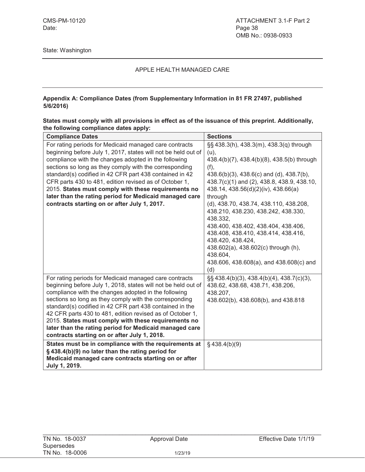#### **Appendix A: Compliance Dates (from Supplementary Information in 81 FR 27497, published 5/6/2016)**

| States must comply with all provisions in effect as of the issuance of this preprint. Additionally, |  |
|-----------------------------------------------------------------------------------------------------|--|
| the following compliance dates apply:                                                               |  |

| <b>Compliance Dates</b>                                                                                                                                                                                                                                                                                                                                                                                                                                                                                                             | <b>Sections</b>                                                                                                                                                                                                                                                                                                                       |
|-------------------------------------------------------------------------------------------------------------------------------------------------------------------------------------------------------------------------------------------------------------------------------------------------------------------------------------------------------------------------------------------------------------------------------------------------------------------------------------------------------------------------------------|---------------------------------------------------------------------------------------------------------------------------------------------------------------------------------------------------------------------------------------------------------------------------------------------------------------------------------------|
| For rating periods for Medicaid managed care contracts<br>beginning before July 1, 2017, states will not be held out of<br>compliance with the changes adopted in the following<br>sections so long as they comply with the corresponding<br>standard(s) codified in 42 CFR part 438 contained in 42<br>CFR parts 430 to 481, edition revised as of October 1,<br>2015. States must comply with these requirements no<br>later than the rating period for Medicaid managed care<br>contracts starting on or after July 1, 2017.     | §§ 438.3(h), 438.3(m), 438.3(q) through<br>$(u)$ ,<br>438.4(b)(7), 438.4(b)(8), 438.5(b) through<br>(f),<br>438.6(b)(3), 438.6(c) and (d), 438.7(b),<br>438.7(c)(1) and (2), 438.8, 438.9, 438.10,<br>438.14, 438.56(d)(2)(iv), 438.66(a)<br>through<br>(d), 438.70, 438.74, 438.110, 438.208,<br>438.210, 438.230, 438.242, 438.330, |
|                                                                                                                                                                                                                                                                                                                                                                                                                                                                                                                                     | 438.332.<br>438.400, 438.402, 438.404, 438.406,<br>438.408, 438.410, 438.414, 438.416,<br>438.420, 438.424,<br>438.602(a), 438.602(c) through (h),<br>438.604,<br>438.606, 438.608(a), and 438.608(c) and<br>(d)                                                                                                                      |
| For rating periods for Medicaid managed care contracts<br>beginning before July 1, 2018, states will not be held out of<br>compliance with the changes adopted in the following<br>sections so long as they comply with the corresponding<br>standard(s) codified in 42 CFR part 438 contained in the<br>42 CFR parts 430 to 481, edition revised as of October 1,<br>2015. States must comply with these requirements no<br>later than the rating period for Medicaid managed care<br>contracts starting on or after July 1, 2018. | $\S$ \$438.4(b)(3), 438.4(b)(4), 438.7(c)(3),<br>438.62, 438.68, 438.71, 438.206,<br>438.207,<br>438.602(b), 438.608(b), and 438.818                                                                                                                                                                                                  |
| States must be in compliance with the requirements at<br>§438.4(b)(9) no later than the rating period for<br>Medicaid managed care contracts starting on or after<br>July 1, 2019.                                                                                                                                                                                                                                                                                                                                                  | $§$ 438.4(b)(9)                                                                                                                                                                                                                                                                                                                       |